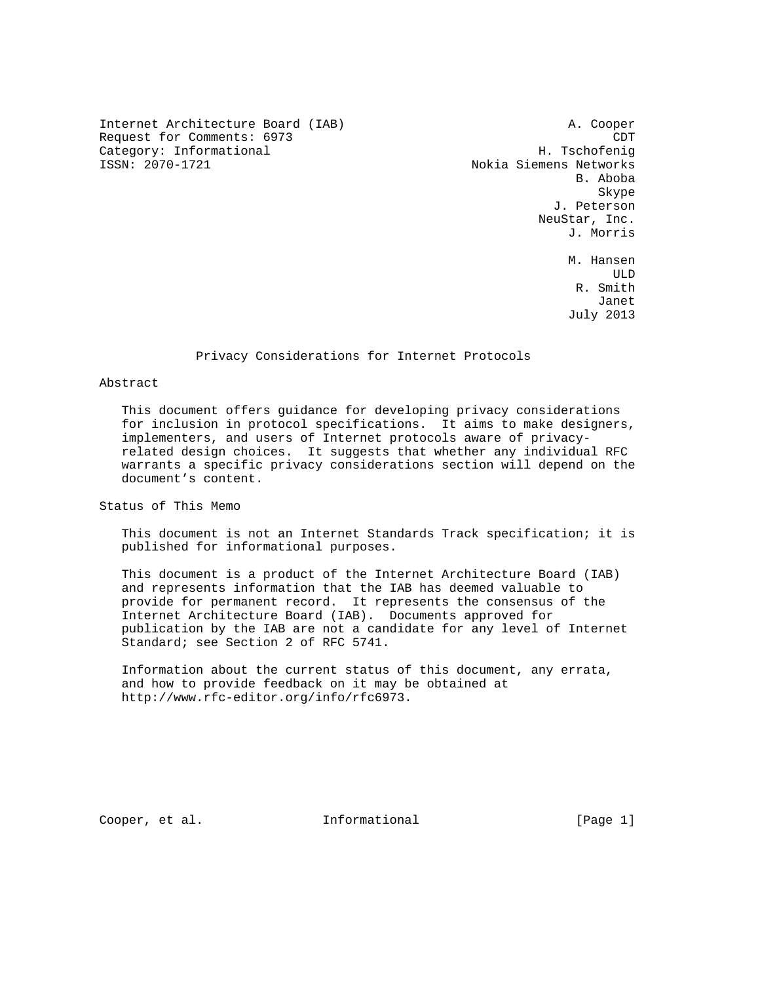Internet Architecture Board (IAB) A. Cooper Request for Comments: 6973 CDT Category: Informational H. Tschofenig

Nokia Siemens Networks B. Aboba Skype and the state of the state of the state of the state of the state of the state of the state of the state of the state of the state of the state of the state of the state of the state of the state of the state of the J. Peterson NeuStar, Inc. J. Morris M. Hansen ULD R. Smith

July 2013

#### Privacy Considerations for Internet Protocols

Janet

#### Abstract

 This document offers guidance for developing privacy considerations for inclusion in protocol specifications. It aims to make designers, implementers, and users of Internet protocols aware of privacy related design choices. It suggests that whether any individual RFC warrants a specific privacy considerations section will depend on the document's content.

Status of This Memo

 This document is not an Internet Standards Track specification; it is published for informational purposes.

 This document is a product of the Internet Architecture Board (IAB) and represents information that the IAB has deemed valuable to provide for permanent record. It represents the consensus of the Internet Architecture Board (IAB). Documents approved for publication by the IAB are not a candidate for any level of Internet Standard; see Section 2 of RFC 5741.

 Information about the current status of this document, any errata, and how to provide feedback on it may be obtained at http://www.rfc-editor.org/info/rfc6973.

Cooper, et al. **Informational** [Page 1]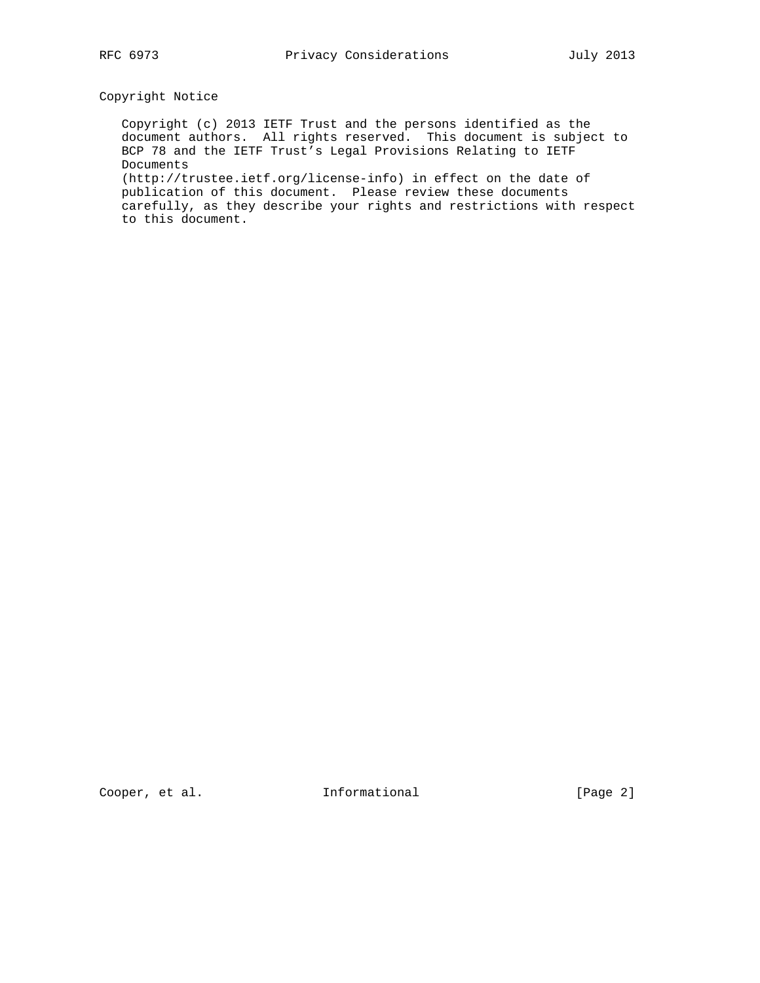# Copyright Notice

 Copyright (c) 2013 IETF Trust and the persons identified as the document authors. All rights reserved. This document is subject to BCP 78 and the IETF Trust's Legal Provisions Relating to IETF Documents (http://trustee.ietf.org/license-info) in effect on the date of

 publication of this document. Please review these documents carefully, as they describe your rights and restrictions with respect to this document.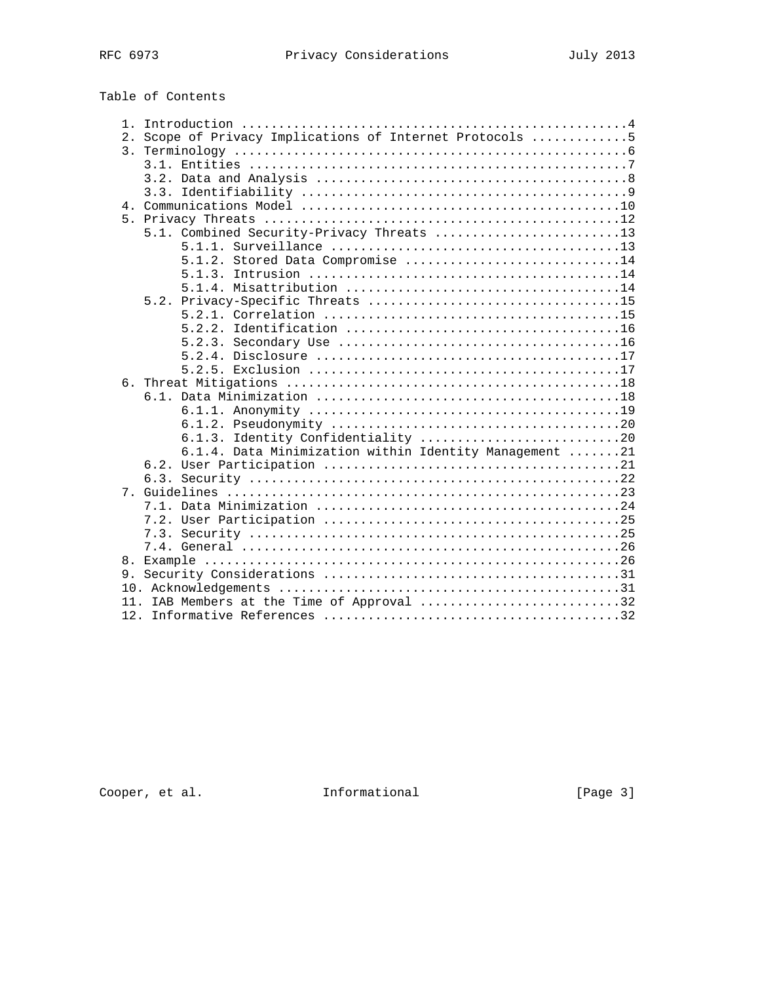# Table of Contents

| 1.             |                                                          |
|----------------|----------------------------------------------------------|
|                | 2. Scope of Privacy Implications of Internet Protocols 5 |
|                |                                                          |
|                |                                                          |
|                |                                                          |
|                |                                                          |
|                |                                                          |
|                |                                                          |
|                | 5.1. Combined Security-Privacy Threats 13                |
|                |                                                          |
|                | $5.1.2$ . Stored Data Compromise 14                      |
|                |                                                          |
|                |                                                          |
|                |                                                          |
|                |                                                          |
|                | 5.2.2.                                                   |
|                |                                                          |
|                |                                                          |
|                |                                                          |
|                |                                                          |
|                |                                                          |
|                |                                                          |
|                |                                                          |
|                | Identity Confidentiality 20<br>6.1.3.                    |
|                | 6.1.4. Data Minimization within Identity Management 21   |
|                |                                                          |
|                |                                                          |
| 7 <sub>1</sub> |                                                          |
|                |                                                          |
|                |                                                          |
|                |                                                          |
|                |                                                          |
| 8.             |                                                          |
|                |                                                          |
|                |                                                          |
|                | 11. IAB Members at the Time of Approval 32               |
|                |                                                          |

Cooper, et al. 1nformational [Page 3]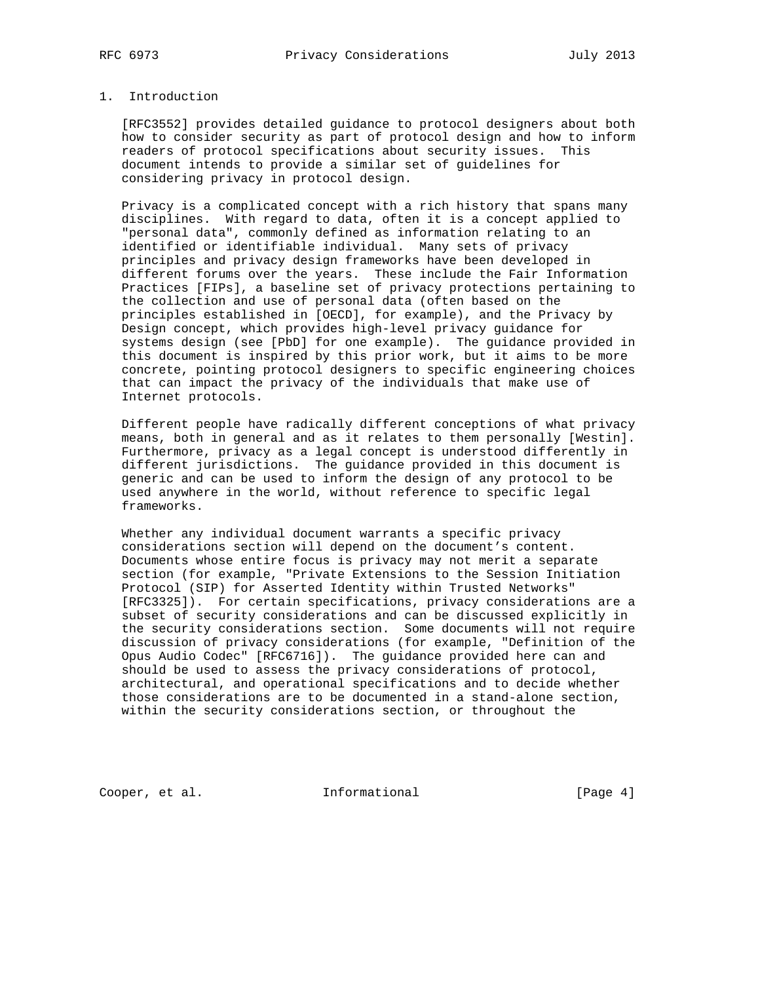#### 1. Introduction

 [RFC3552] provides detailed guidance to protocol designers about both how to consider security as part of protocol design and how to inform readers of protocol specifications about security issues. This document intends to provide a similar set of guidelines for considering privacy in protocol design.

 Privacy is a complicated concept with a rich history that spans many disciplines. With regard to data, often it is a concept applied to "personal data", commonly defined as information relating to an identified or identifiable individual. Many sets of privacy principles and privacy design frameworks have been developed in different forums over the years. These include the Fair Information Practices [FIPs], a baseline set of privacy protections pertaining to the collection and use of personal data (often based on the principles established in [OECD], for example), and the Privacy by Design concept, which provides high-level privacy guidance for systems design (see [PbD] for one example). The guidance provided in this document is inspired by this prior work, but it aims to be more concrete, pointing protocol designers to specific engineering choices that can impact the privacy of the individuals that make use of Internet protocols.

 Different people have radically different conceptions of what privacy means, both in general and as it relates to them personally [Westin]. Furthermore, privacy as a legal concept is understood differently in different jurisdictions. The guidance provided in this document is generic and can be used to inform the design of any protocol to be used anywhere in the world, without reference to specific legal frameworks.

 Whether any individual document warrants a specific privacy considerations section will depend on the document's content. Documents whose entire focus is privacy may not merit a separate section (for example, "Private Extensions to the Session Initiation Protocol (SIP) for Asserted Identity within Trusted Networks" [RFC3325]). For certain specifications, privacy considerations are a subset of security considerations and can be discussed explicitly in the security considerations section. Some documents will not require discussion of privacy considerations (for example, "Definition of the Opus Audio Codec" [RFC6716]). The guidance provided here can and should be used to assess the privacy considerations of protocol, architectural, and operational specifications and to decide whether those considerations are to be documented in a stand-alone section, within the security considerations section, or throughout the

Cooper, et al. 1nformational [Page 4]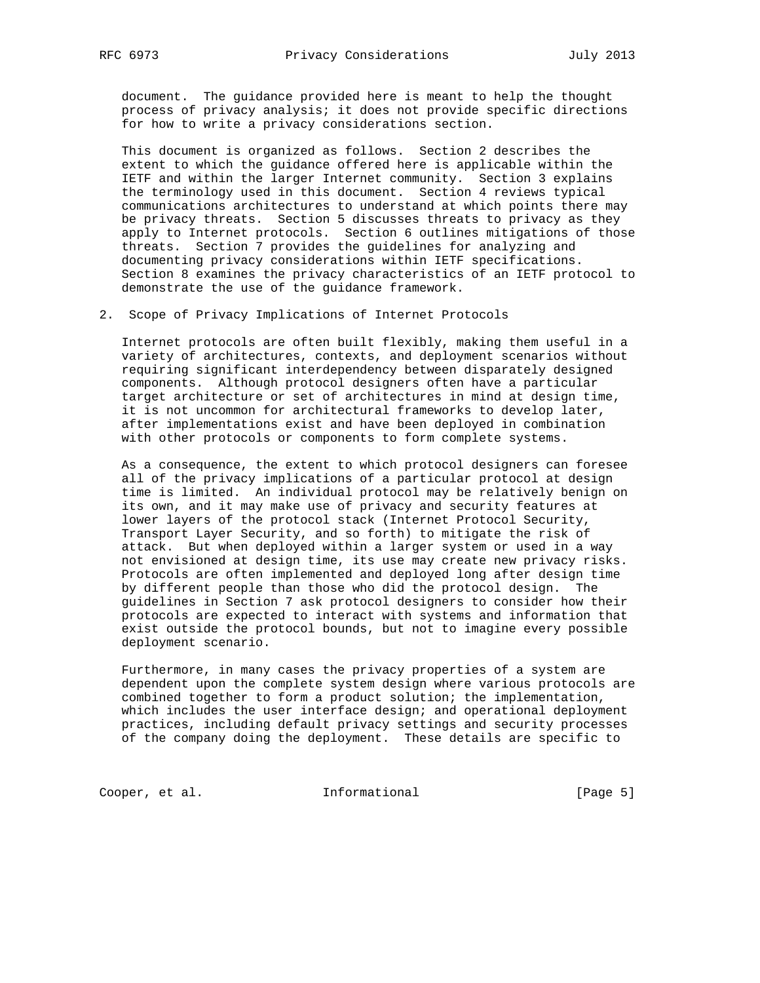document. The guidance provided here is meant to help the thought process of privacy analysis; it does not provide specific directions for how to write a privacy considerations section.

 This document is organized as follows. Section 2 describes the extent to which the guidance offered here is applicable within the IETF and within the larger Internet community. Section 3 explains the terminology used in this document. Section 4 reviews typical communications architectures to understand at which points there may be privacy threats. Section 5 discusses threats to privacy as they apply to Internet protocols. Section 6 outlines mitigations of those threats. Section 7 provides the guidelines for analyzing and documenting privacy considerations within IETF specifications. Section 8 examines the privacy characteristics of an IETF protocol to demonstrate the use of the guidance framework.

2. Scope of Privacy Implications of Internet Protocols

 Internet protocols are often built flexibly, making them useful in a variety of architectures, contexts, and deployment scenarios without requiring significant interdependency between disparately designed components. Although protocol designers often have a particular target architecture or set of architectures in mind at design time, it is not uncommon for architectural frameworks to develop later, after implementations exist and have been deployed in combination with other protocols or components to form complete systems.

 As a consequence, the extent to which protocol designers can foresee all of the privacy implications of a particular protocol at design time is limited. An individual protocol may be relatively benign on its own, and it may make use of privacy and security features at lower layers of the protocol stack (Internet Protocol Security, Transport Layer Security, and so forth) to mitigate the risk of attack. But when deployed within a larger system or used in a way not envisioned at design time, its use may create new privacy risks. Protocols are often implemented and deployed long after design time by different people than those who did the protocol design. The guidelines in Section 7 ask protocol designers to consider how their protocols are expected to interact with systems and information that exist outside the protocol bounds, but not to imagine every possible deployment scenario.

 Furthermore, in many cases the privacy properties of a system are dependent upon the complete system design where various protocols are combined together to form a product solution; the implementation, which includes the user interface design; and operational deployment practices, including default privacy settings and security processes of the company doing the deployment. These details are specific to

Cooper, et al. 1nformational [Page 5]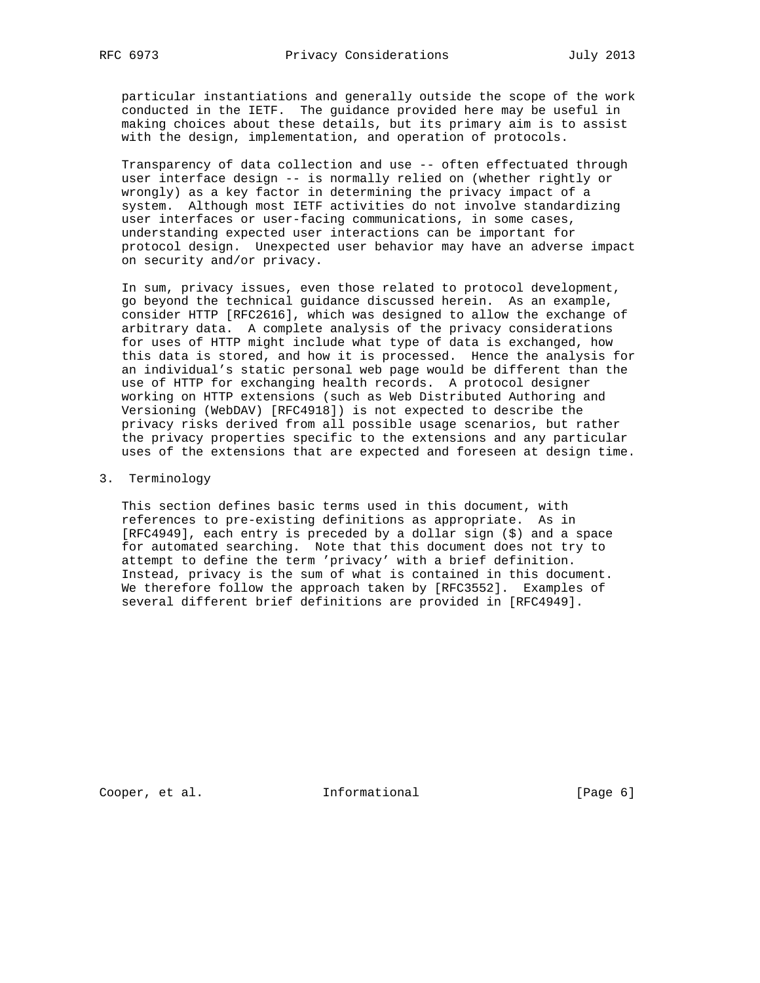particular instantiations and generally outside the scope of the work conducted in the IETF. The guidance provided here may be useful in making choices about these details, but its primary aim is to assist with the design, implementation, and operation of protocols.

 Transparency of data collection and use -- often effectuated through user interface design -- is normally relied on (whether rightly or wrongly) as a key factor in determining the privacy impact of a system. Although most IETF activities do not involve standardizing user interfaces or user-facing communications, in some cases, understanding expected user interactions can be important for protocol design. Unexpected user behavior may have an adverse impact on security and/or privacy.

 In sum, privacy issues, even those related to protocol development, go beyond the technical guidance discussed herein. As an example, consider HTTP [RFC2616], which was designed to allow the exchange of arbitrary data. A complete analysis of the privacy considerations for uses of HTTP might include what type of data is exchanged, how this data is stored, and how it is processed. Hence the analysis for an individual's static personal web page would be different than the use of HTTP for exchanging health records. A protocol designer working on HTTP extensions (such as Web Distributed Authoring and Versioning (WebDAV) [RFC4918]) is not expected to describe the privacy risks derived from all possible usage scenarios, but rather the privacy properties specific to the extensions and any particular uses of the extensions that are expected and foreseen at design time.

3. Terminology

 This section defines basic terms used in this document, with references to pre-existing definitions as appropriate. As in [RFC4949], each entry is preceded by a dollar sign (\$) and a space for automated searching. Note that this document does not try to attempt to define the term 'privacy' with a brief definition. Instead, privacy is the sum of what is contained in this document. We therefore follow the approach taken by [RFC3552]. Examples of several different brief definitions are provided in [RFC4949].

Cooper, et al. 1nformational [Page 6]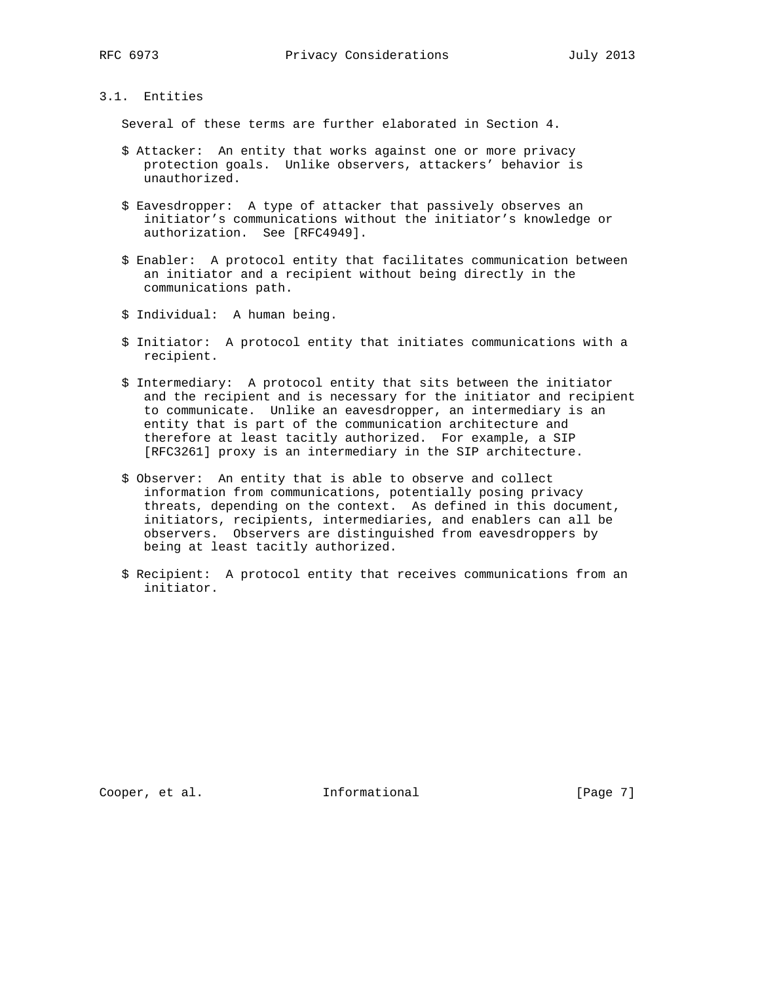# 3.1. Entities

Several of these terms are further elaborated in Section 4.

- \$ Attacker: An entity that works against one or more privacy protection goals. Unlike observers, attackers' behavior is unauthorized.
- \$ Eavesdropper: A type of attacker that passively observes an initiator's communications without the initiator's knowledge or authorization. See [RFC4949].
- \$ Enabler: A protocol entity that facilitates communication between an initiator and a recipient without being directly in the communications path.
- \$ Individual: A human being.
- \$ Initiator: A protocol entity that initiates communications with a recipient.
- \$ Intermediary: A protocol entity that sits between the initiator and the recipient and is necessary for the initiator and recipient to communicate. Unlike an eavesdropper, an intermediary is an entity that is part of the communication architecture and therefore at least tacitly authorized. For example, a SIP [RFC3261] proxy is an intermediary in the SIP architecture.
- \$ Observer: An entity that is able to observe and collect information from communications, potentially posing privacy threats, depending on the context. As defined in this document, initiators, recipients, intermediaries, and enablers can all be observers. Observers are distinguished from eavesdroppers by being at least tacitly authorized.
- \$ Recipient: A protocol entity that receives communications from an initiator.

Cooper, et al. 1nformational [Page 7]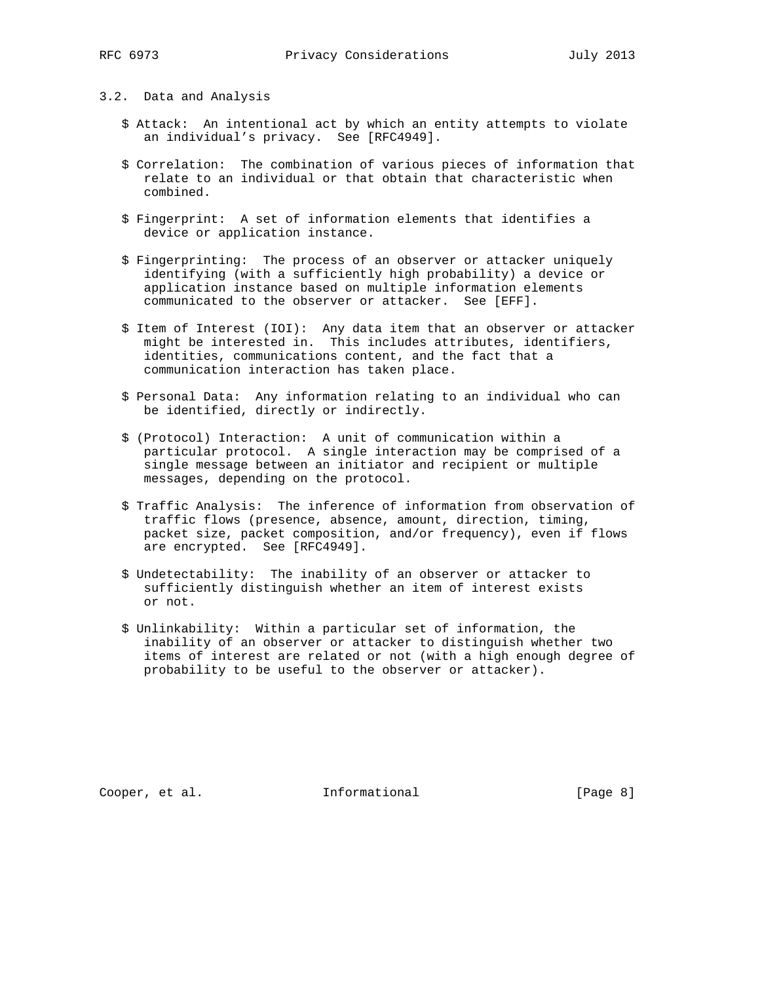#### 3.2. Data and Analysis

- \$ Attack: An intentional act by which an entity attempts to violate an individual's privacy. See [RFC4949].
- \$ Correlation: The combination of various pieces of information that relate to an individual or that obtain that characteristic when combined.
- \$ Fingerprint: A set of information elements that identifies a device or application instance.
- \$ Fingerprinting: The process of an observer or attacker uniquely identifying (with a sufficiently high probability) a device or application instance based on multiple information elements communicated to the observer or attacker. See [EFF].
- \$ Item of Interest (IOI): Any data item that an observer or attacker might be interested in. This includes attributes, identifiers, identities, communications content, and the fact that a communication interaction has taken place.
- \$ Personal Data: Any information relating to an individual who can be identified, directly or indirectly.
- \$ (Protocol) Interaction: A unit of communication within a particular protocol. A single interaction may be comprised of a single message between an initiator and recipient or multiple messages, depending on the protocol.
- \$ Traffic Analysis: The inference of information from observation of traffic flows (presence, absence, amount, direction, timing, packet size, packet composition, and/or frequency), even if flows are encrypted. See [RFC4949].
- \$ Undetectability: The inability of an observer or attacker to sufficiently distinguish whether an item of interest exists or not.
- \$ Unlinkability: Within a particular set of information, the inability of an observer or attacker to distinguish whether two items of interest are related or not (with a high enough degree of probability to be useful to the observer or attacker).

Cooper, et al. 1nformational [Page 8]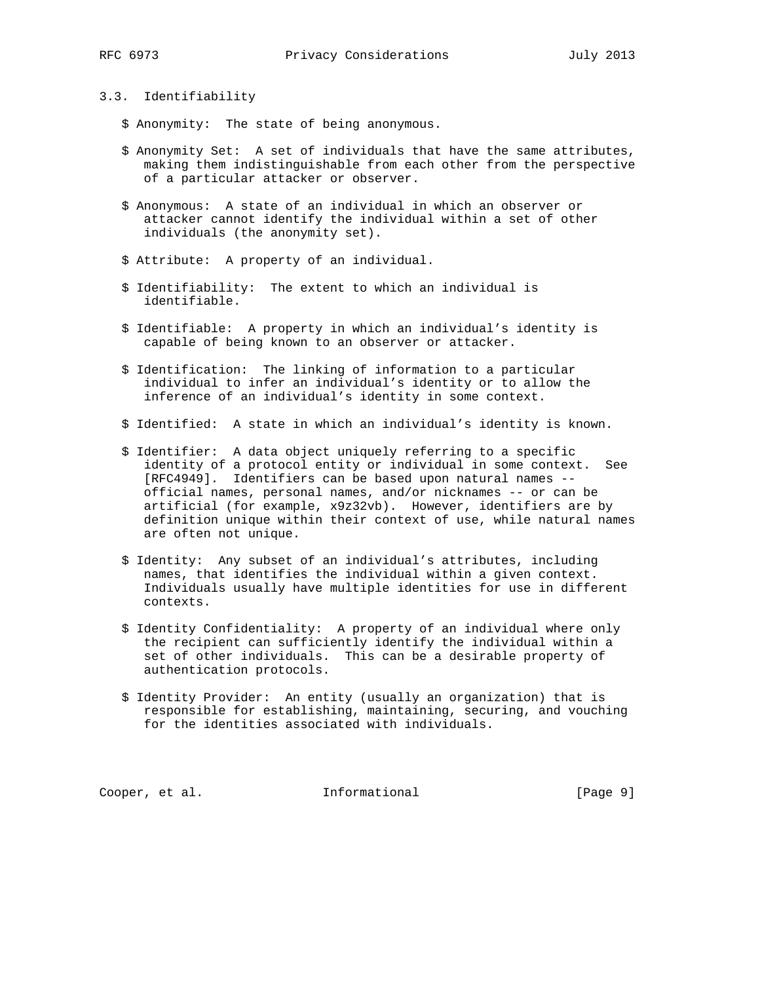### 3.3. Identifiability

- \$ Anonymity: The state of being anonymous.
- \$ Anonymity Set: A set of individuals that have the same attributes, making them indistinguishable from each other from the perspective of a particular attacker or observer.
- \$ Anonymous: A state of an individual in which an observer or attacker cannot identify the individual within a set of other individuals (the anonymity set).
- \$ Attribute: A property of an individual.
- \$ Identifiability: The extent to which an individual is identifiable.
- \$ Identifiable: A property in which an individual's identity is capable of being known to an observer or attacker.
- \$ Identification: The linking of information to a particular individual to infer an individual's identity or to allow the inference of an individual's identity in some context.
- \$ Identified: A state in which an individual's identity is known.
- \$ Identifier: A data object uniquely referring to a specific identity of a protocol entity or individual in some context. See [RFC4949]. Identifiers can be based upon natural names - official names, personal names, and/or nicknames -- or can be artificial (for example, x9z32vb). However, identifiers are by definition unique within their context of use, while natural names are often not unique.
- \$ Identity: Any subset of an individual's attributes, including names, that identifies the individual within a given context. Individuals usually have multiple identities for use in different contexts.
- \$ Identity Confidentiality: A property of an individual where only the recipient can sufficiently identify the individual within a set of other individuals. This can be a desirable property of authentication protocols.
- \$ Identity Provider: An entity (usually an organization) that is responsible for establishing, maintaining, securing, and vouching for the identities associated with individuals.

Cooper, et al. 1nformational [Page 9]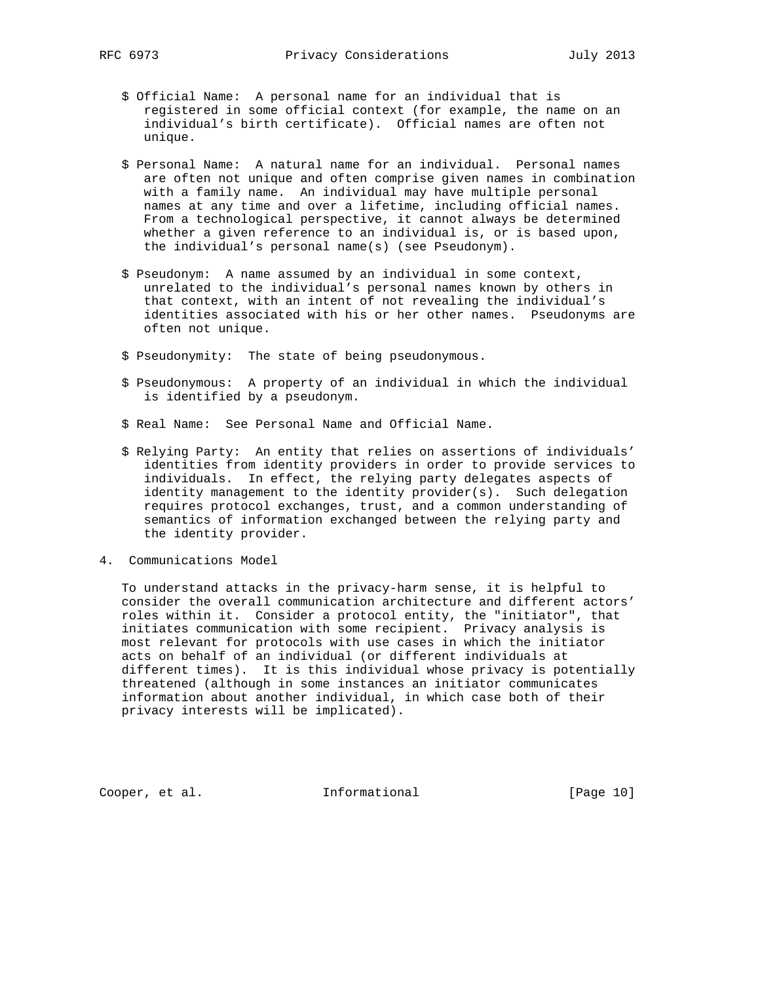- \$ Official Name: A personal name for an individual that is registered in some official context (for example, the name on an individual's birth certificate). Official names are often not unique.
- \$ Personal Name: A natural name for an individual. Personal names are often not unique and often comprise given names in combination with a family name. An individual may have multiple personal names at any time and over a lifetime, including official names. From a technological perspective, it cannot always be determined whether a given reference to an individual is, or is based upon, the individual's personal name(s) (see Pseudonym).
- \$ Pseudonym: A name assumed by an individual in some context, unrelated to the individual's personal names known by others in that context, with an intent of not revealing the individual's identities associated with his or her other names. Pseudonyms are often not unique.
- \$ Pseudonymity: The state of being pseudonymous.
- \$ Pseudonymous: A property of an individual in which the individual is identified by a pseudonym.
- \$ Real Name: See Personal Name and Official Name.
- \$ Relying Party: An entity that relies on assertions of individuals' identities from identity providers in order to provide services to individuals. In effect, the relying party delegates aspects of identity management to the identity provider(s). Such delegation requires protocol exchanges, trust, and a common understanding of semantics of information exchanged between the relying party and the identity provider.
- 4. Communications Model

 To understand attacks in the privacy-harm sense, it is helpful to consider the overall communication architecture and different actors' roles within it. Consider a protocol entity, the "initiator", that initiates communication with some recipient. Privacy analysis is most relevant for protocols with use cases in which the initiator acts on behalf of an individual (or different individuals at different times). It is this individual whose privacy is potentially threatened (although in some instances an initiator communicates information about another individual, in which case both of their privacy interests will be implicated).

Cooper, et al. 1nformational [Page 10]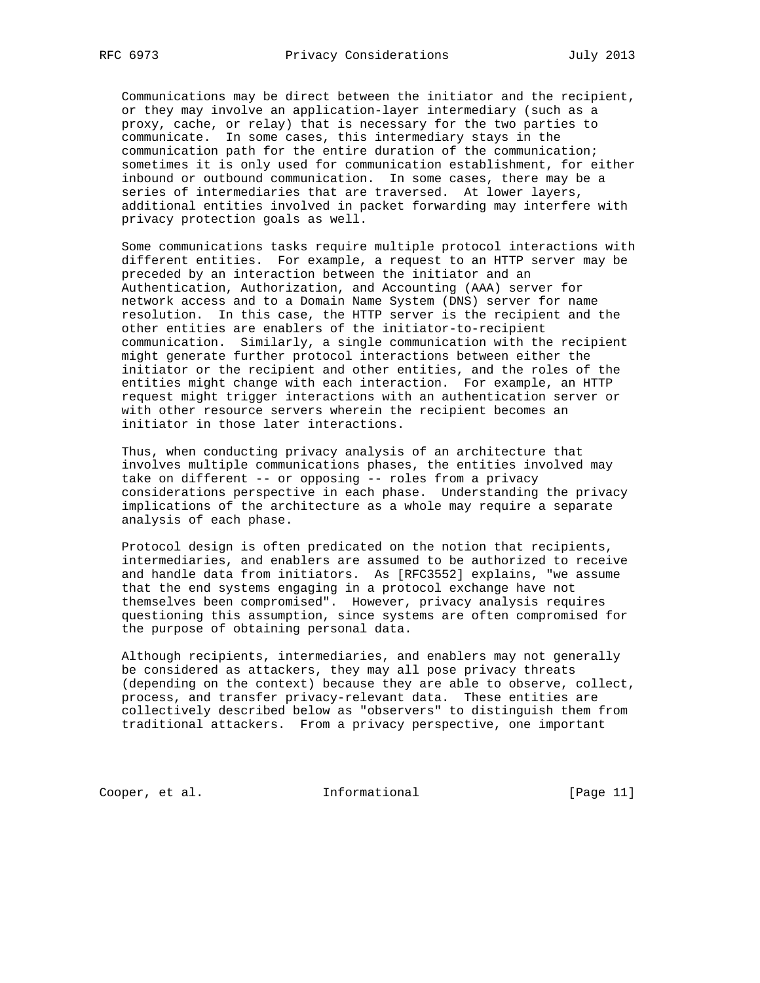Communications may be direct between the initiator and the recipient, or they may involve an application-layer intermediary (such as a proxy, cache, or relay) that is necessary for the two parties to communicate. In some cases, this intermediary stays in the communication path for the entire duration of the communication; sometimes it is only used for communication establishment, for either inbound or outbound communication. In some cases, there may be a series of intermediaries that are traversed. At lower layers, additional entities involved in packet forwarding may interfere with privacy protection goals as well.

 Some communications tasks require multiple protocol interactions with different entities. For example, a request to an HTTP server may be preceded by an interaction between the initiator and an Authentication, Authorization, and Accounting (AAA) server for network access and to a Domain Name System (DNS) server for name resolution. In this case, the HTTP server is the recipient and the other entities are enablers of the initiator-to-recipient communication. Similarly, a single communication with the recipient might generate further protocol interactions between either the initiator or the recipient and other entities, and the roles of the entities might change with each interaction. For example, an HTTP request might trigger interactions with an authentication server or with other resource servers wherein the recipient becomes an initiator in those later interactions.

 Thus, when conducting privacy analysis of an architecture that involves multiple communications phases, the entities involved may take on different -- or opposing -- roles from a privacy considerations perspective in each phase. Understanding the privacy implications of the architecture as a whole may require a separate analysis of each phase.

 Protocol design is often predicated on the notion that recipients, intermediaries, and enablers are assumed to be authorized to receive and handle data from initiators. As [RFC3552] explains, "we assume that the end systems engaging in a protocol exchange have not themselves been compromised". However, privacy analysis requires questioning this assumption, since systems are often compromised for the purpose of obtaining personal data.

 Although recipients, intermediaries, and enablers may not generally be considered as attackers, they may all pose privacy threats (depending on the context) because they are able to observe, collect, process, and transfer privacy-relevant data. These entities are collectively described below as "observers" to distinguish them from traditional attackers. From a privacy perspective, one important

Cooper, et al. 1nformational [Page 11]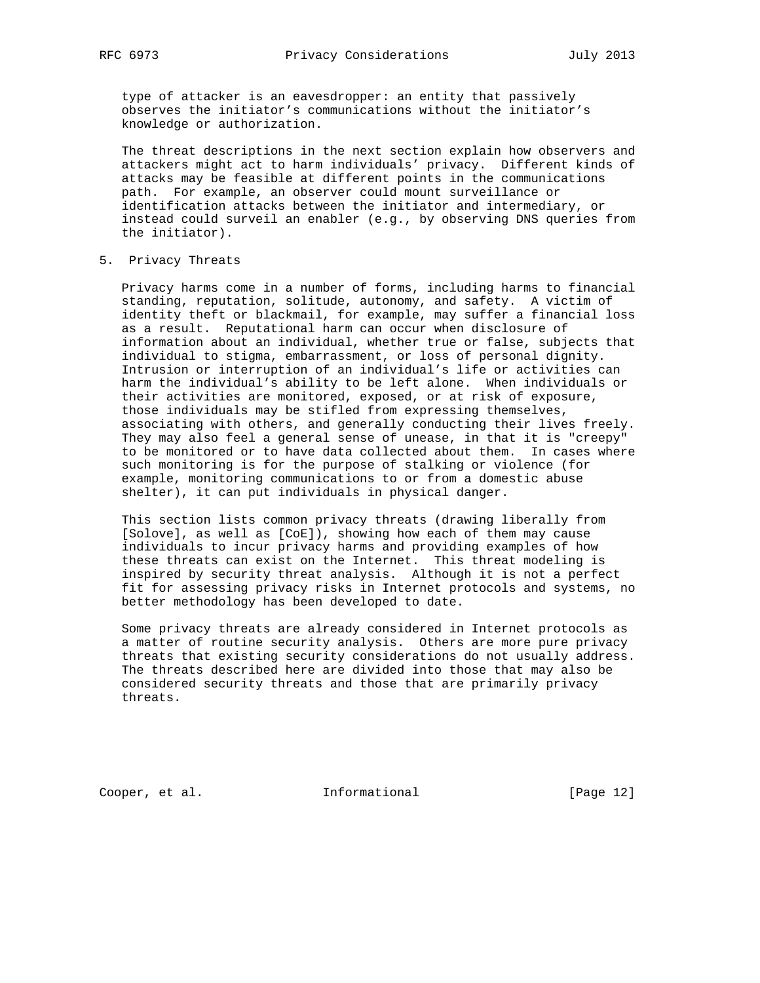type of attacker is an eavesdropper: an entity that passively observes the initiator's communications without the initiator's knowledge or authorization.

 The threat descriptions in the next section explain how observers and attackers might act to harm individuals' privacy. Different kinds of attacks may be feasible at different points in the communications path. For example, an observer could mount surveillance or identification attacks between the initiator and intermediary, or instead could surveil an enabler (e.g., by observing DNS queries from the initiator).

5. Privacy Threats

 Privacy harms come in a number of forms, including harms to financial standing, reputation, solitude, autonomy, and safety. A victim of identity theft or blackmail, for example, may suffer a financial loss as a result. Reputational harm can occur when disclosure of information about an individual, whether true or false, subjects that individual to stigma, embarrassment, or loss of personal dignity. Intrusion or interruption of an individual's life or activities can harm the individual's ability to be left alone. When individuals or their activities are monitored, exposed, or at risk of exposure, those individuals may be stifled from expressing themselves, associating with others, and generally conducting their lives freely. They may also feel a general sense of unease, in that it is "creepy" to be monitored or to have data collected about them. In cases where such monitoring is for the purpose of stalking or violence (for example, monitoring communications to or from a domestic abuse shelter), it can put individuals in physical danger.

 This section lists common privacy threats (drawing liberally from [Solove], as well as [CoE]), showing how each of them may cause individuals to incur privacy harms and providing examples of how these threats can exist on the Internet. This threat modeling is inspired by security threat analysis. Although it is not a perfect fit for assessing privacy risks in Internet protocols and systems, no better methodology has been developed to date.

 Some privacy threats are already considered in Internet protocols as a matter of routine security analysis. Others are more pure privacy threats that existing security considerations do not usually address. The threats described here are divided into those that may also be considered security threats and those that are primarily privacy threats.

Cooper, et al. 1nformational [Page 12]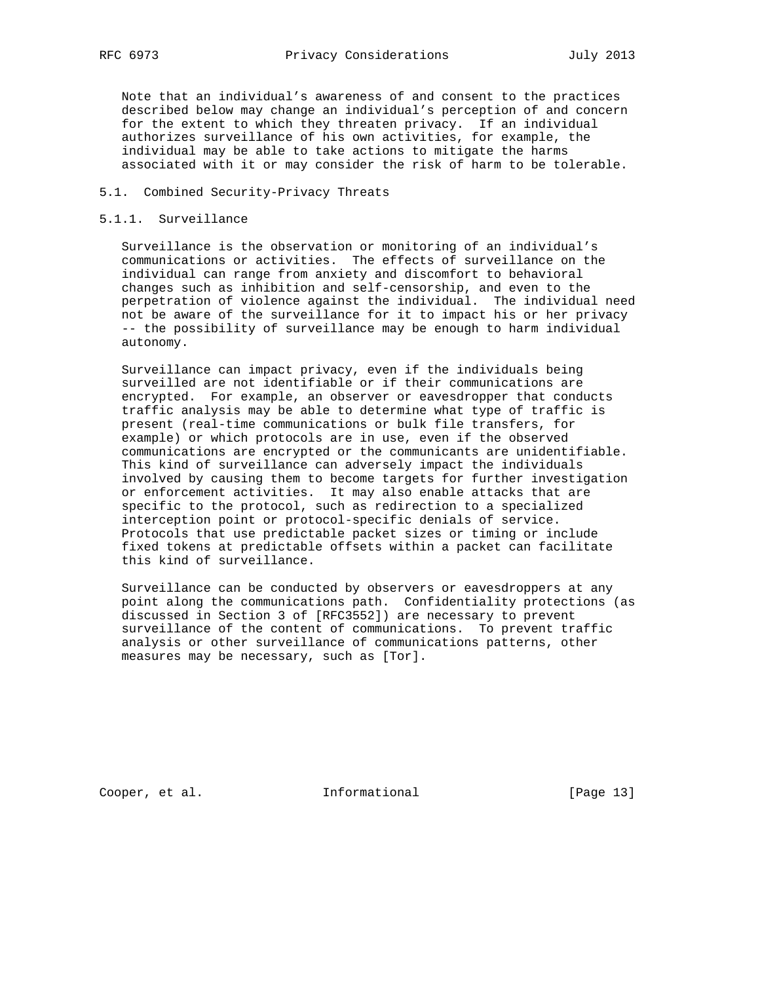Note that an individual's awareness of and consent to the practices described below may change an individual's perception of and concern for the extent to which they threaten privacy. If an individual authorizes surveillance of his own activities, for example, the individual may be able to take actions to mitigate the harms associated with it or may consider the risk of harm to be tolerable.

#### 5.1. Combined Security-Privacy Threats

#### 5.1.1. Surveillance

 Surveillance is the observation or monitoring of an individual's communications or activities. The effects of surveillance on the individual can range from anxiety and discomfort to behavioral changes such as inhibition and self-censorship, and even to the perpetration of violence against the individual. The individual need not be aware of the surveillance for it to impact his or her privacy -- the possibility of surveillance may be enough to harm individual autonomy.

 Surveillance can impact privacy, even if the individuals being surveilled are not identifiable or if their communications are encrypted. For example, an observer or eavesdropper that conducts traffic analysis may be able to determine what type of traffic is present (real-time communications or bulk file transfers, for example) or which protocols are in use, even if the observed communications are encrypted or the communicants are unidentifiable. This kind of surveillance can adversely impact the individuals involved by causing them to become targets for further investigation or enforcement activities. It may also enable attacks that are specific to the protocol, such as redirection to a specialized interception point or protocol-specific denials of service. Protocols that use predictable packet sizes or timing or include fixed tokens at predictable offsets within a packet can facilitate this kind of surveillance.

 Surveillance can be conducted by observers or eavesdroppers at any point along the communications path. Confidentiality protections (as discussed in Section 3 of [RFC3552]) are necessary to prevent surveillance of the content of communications. To prevent traffic analysis or other surveillance of communications patterns, other measures may be necessary, such as [Tor].

Cooper, et al. 1nformational [Page 13]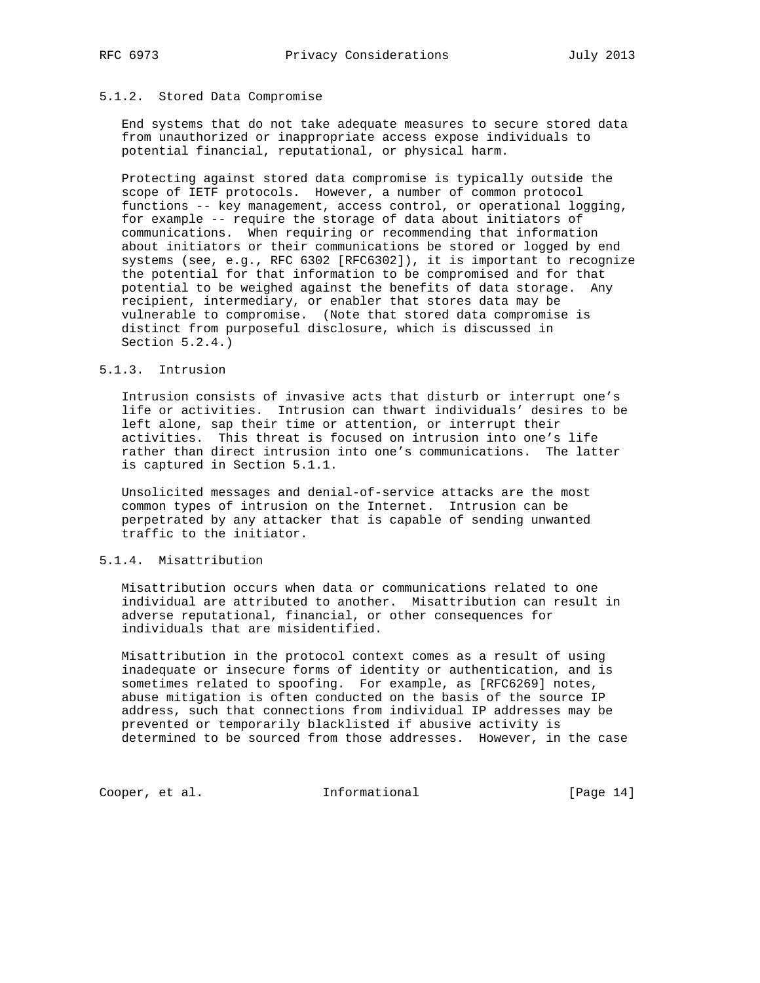#### 5.1.2. Stored Data Compromise

 End systems that do not take adequate measures to secure stored data from unauthorized or inappropriate access expose individuals to potential financial, reputational, or physical harm.

 Protecting against stored data compromise is typically outside the scope of IETF protocols. However, a number of common protocol functions -- key management, access control, or operational logging, for example -- require the storage of data about initiators of communications. When requiring or recommending that information about initiators or their communications be stored or logged by end systems (see, e.g., RFC 6302 [RFC6302]), it is important to recognize the potential for that information to be compromised and for that potential to be weighed against the benefits of data storage. Any recipient, intermediary, or enabler that stores data may be vulnerable to compromise. (Note that stored data compromise is distinct from purposeful disclosure, which is discussed in Section 5.2.4.)

#### 5.1.3. Intrusion

 Intrusion consists of invasive acts that disturb or interrupt one's life or activities. Intrusion can thwart individuals' desires to be left alone, sap their time or attention, or interrupt their activities. This threat is focused on intrusion into one's life rather than direct intrusion into one's communications. The latter is captured in Section 5.1.1.

 Unsolicited messages and denial-of-service attacks are the most common types of intrusion on the Internet. Intrusion can be perpetrated by any attacker that is capable of sending unwanted traffic to the initiator.

# 5.1.4. Misattribution

 Misattribution occurs when data or communications related to one individual are attributed to another. Misattribution can result in adverse reputational, financial, or other consequences for individuals that are misidentified.

 Misattribution in the protocol context comes as a result of using inadequate or insecure forms of identity or authentication, and is sometimes related to spoofing. For example, as [RFC6269] notes, abuse mitigation is often conducted on the basis of the source IP address, such that connections from individual IP addresses may be prevented or temporarily blacklisted if abusive activity is determined to be sourced from those addresses. However, in the case

Cooper, et al. 1nformational [Page 14]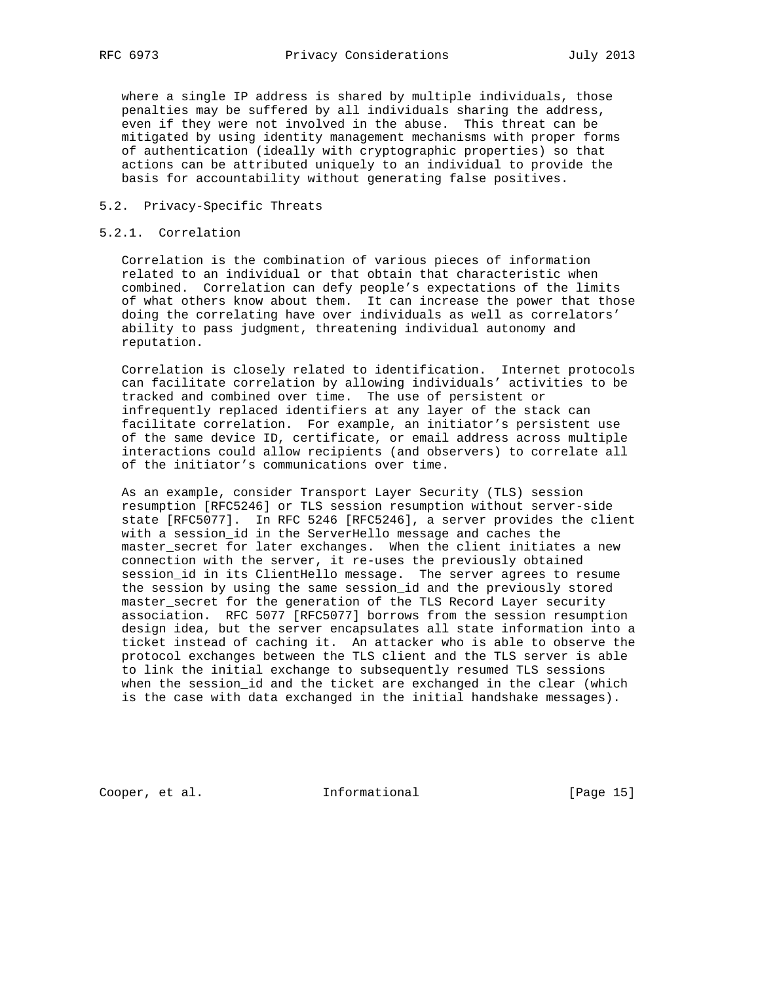where a single IP address is shared by multiple individuals, those penalties may be suffered by all individuals sharing the address, even if they were not involved in the abuse. This threat can be mitigated by using identity management mechanisms with proper forms of authentication (ideally with cryptographic properties) so that actions can be attributed uniquely to an individual to provide the basis for accountability without generating false positives.

#### 5.2. Privacy-Specific Threats

#### 5.2.1. Correlation

 Correlation is the combination of various pieces of information related to an individual or that obtain that characteristic when combined. Correlation can defy people's expectations of the limits of what others know about them. It can increase the power that those doing the correlating have over individuals as well as correlators' ability to pass judgment, threatening individual autonomy and reputation.

 Correlation is closely related to identification. Internet protocols can facilitate correlation by allowing individuals' activities to be tracked and combined over time. The use of persistent or infrequently replaced identifiers at any layer of the stack can facilitate correlation. For example, an initiator's persistent use of the same device ID, certificate, or email address across multiple interactions could allow recipients (and observers) to correlate all of the initiator's communications over time.

 As an example, consider Transport Layer Security (TLS) session resumption [RFC5246] or TLS session resumption without server-side state [RFC5077]. In RFC 5246 [RFC5246], a server provides the client with a session\_id in the ServerHello message and caches the master\_secret for later exchanges. When the client initiates a new connection with the server, it re-uses the previously obtained session\_id in its ClientHello message. The server agrees to resume the session by using the same session\_id and the previously stored master\_secret for the generation of the TLS Record Layer security association. RFC 5077 [RFC5077] borrows from the session resumption design idea, but the server encapsulates all state information into a ticket instead of caching it. An attacker who is able to observe the protocol exchanges between the TLS client and the TLS server is able to link the initial exchange to subsequently resumed TLS sessions when the session\_id and the ticket are exchanged in the clear (which is the case with data exchanged in the initial handshake messages).

Cooper, et al. 1nformational [Page 15]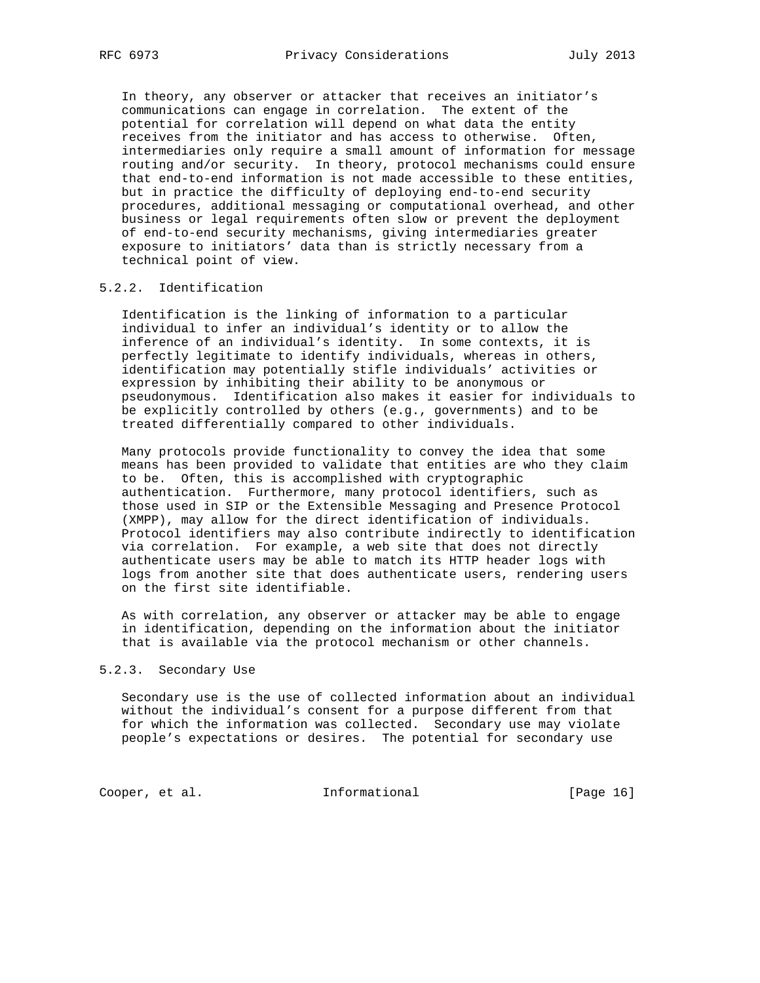In theory, any observer or attacker that receives an initiator's communications can engage in correlation. The extent of the potential for correlation will depend on what data the entity receives from the initiator and has access to otherwise. Often, intermediaries only require a small amount of information for message routing and/or security. In theory, protocol mechanisms could ensure that end-to-end information is not made accessible to these entities, but in practice the difficulty of deploying end-to-end security procedures, additional messaging or computational overhead, and other business or legal requirements often slow or prevent the deployment of end-to-end security mechanisms, giving intermediaries greater exposure to initiators' data than is strictly necessary from a technical point of view.

# 5.2.2. Identification

 Identification is the linking of information to a particular individual to infer an individual's identity or to allow the inference of an individual's identity. In some contexts, it is perfectly legitimate to identify individuals, whereas in others, identification may potentially stifle individuals' activities or expression by inhibiting their ability to be anonymous or pseudonymous. Identification also makes it easier for individuals to be explicitly controlled by others (e.g., governments) and to be treated differentially compared to other individuals.

 Many protocols provide functionality to convey the idea that some means has been provided to validate that entities are who they claim to be. Often, this is accomplished with cryptographic authentication. Furthermore, many protocol identifiers, such as those used in SIP or the Extensible Messaging and Presence Protocol (XMPP), may allow for the direct identification of individuals. Protocol identifiers may also contribute indirectly to identification via correlation. For example, a web site that does not directly authenticate users may be able to match its HTTP header logs with logs from another site that does authenticate users, rendering users on the first site identifiable.

 As with correlation, any observer or attacker may be able to engage in identification, depending on the information about the initiator that is available via the protocol mechanism or other channels.

#### 5.2.3. Secondary Use

 Secondary use is the use of collected information about an individual without the individual's consent for a purpose different from that for which the information was collected. Secondary use may violate people's expectations or desires. The potential for secondary use

Cooper, et al. 1nformational [Page 16]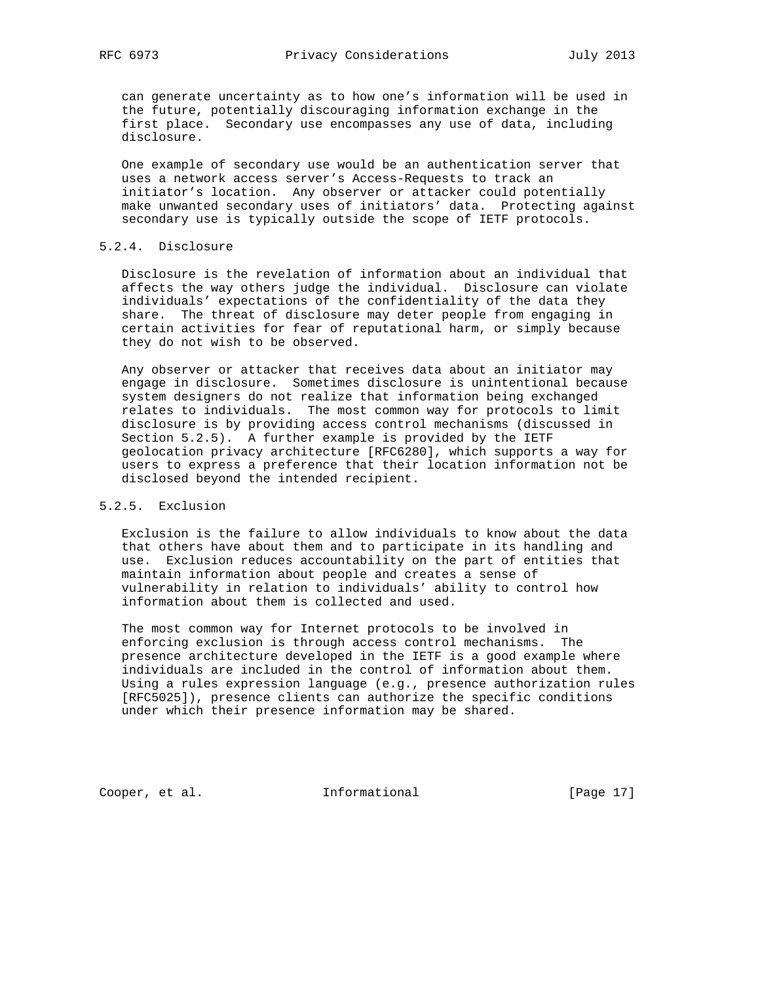can generate uncertainty as to how one's information will be used in the future, potentially discouraging information exchange in the first place. Secondary use encompasses any use of data, including disclosure.

 One example of secondary use would be an authentication server that uses a network access server's Access-Requests to track an initiator's location. Any observer or attacker could potentially make unwanted secondary uses of initiators' data. Protecting against secondary use is typically outside the scope of IETF protocols.

# 5.2.4. Disclosure

 Disclosure is the revelation of information about an individual that affects the way others judge the individual. Disclosure can violate individuals' expectations of the confidentiality of the data they share. The threat of disclosure may deter people from engaging in certain activities for fear of reputational harm, or simply because they do not wish to be observed.

 Any observer or attacker that receives data about an initiator may engage in disclosure. Sometimes disclosure is unintentional because system designers do not realize that information being exchanged relates to individuals. The most common way for protocols to limit disclosure is by providing access control mechanisms (discussed in Section 5.2.5). A further example is provided by the IETF geolocation privacy architecture [RFC6280], which supports a way for users to express a preference that their location information not be disclosed beyond the intended recipient.

# 5.2.5. Exclusion

 Exclusion is the failure to allow individuals to know about the data that others have about them and to participate in its handling and use. Exclusion reduces accountability on the part of entities that maintain information about people and creates a sense of vulnerability in relation to individuals' ability to control how information about them is collected and used.

 The most common way for Internet protocols to be involved in enforcing exclusion is through access control mechanisms. The presence architecture developed in the IETF is a good example where individuals are included in the control of information about them. Using a rules expression language (e.g., presence authorization rules [RFC5025]), presence clients can authorize the specific conditions under which their presence information may be shared.

Cooper, et al. 1nformational [Page 17]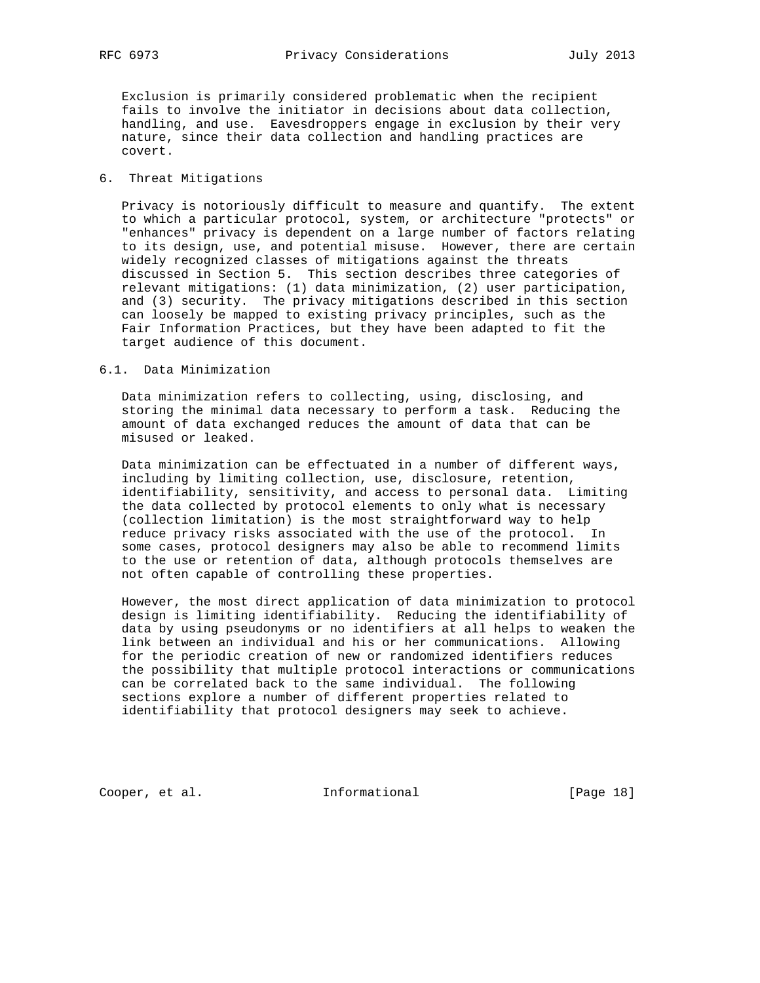Exclusion is primarily considered problematic when the recipient fails to involve the initiator in decisions about data collection, handling, and use. Eavesdroppers engage in exclusion by their very nature, since their data collection and handling practices are covert.

#### 6. Threat Mitigations

 Privacy is notoriously difficult to measure and quantify. The extent to which a particular protocol, system, or architecture "protects" or "enhances" privacy is dependent on a large number of factors relating to its design, use, and potential misuse. However, there are certain widely recognized classes of mitigations against the threats discussed in Section 5. This section describes three categories of relevant mitigations: (1) data minimization, (2) user participation, and (3) security. The privacy mitigations described in this section can loosely be mapped to existing privacy principles, such as the Fair Information Practices, but they have been adapted to fit the target audience of this document.

#### 6.1. Data Minimization

 Data minimization refers to collecting, using, disclosing, and storing the minimal data necessary to perform a task. Reducing the amount of data exchanged reduces the amount of data that can be misused or leaked.

 Data minimization can be effectuated in a number of different ways, including by limiting collection, use, disclosure, retention, identifiability, sensitivity, and access to personal data. Limiting the data collected by protocol elements to only what is necessary (collection limitation) is the most straightforward way to help reduce privacy risks associated with the use of the protocol. In some cases, protocol designers may also be able to recommend limits to the use or retention of data, although protocols themselves are not often capable of controlling these properties.

 However, the most direct application of data minimization to protocol design is limiting identifiability. Reducing the identifiability of data by using pseudonyms or no identifiers at all helps to weaken the link between an individual and his or her communications. Allowing for the periodic creation of new or randomized identifiers reduces the possibility that multiple protocol interactions or communications can be correlated back to the same individual. The following sections explore a number of different properties related to identifiability that protocol designers may seek to achieve.

Cooper, et al. 1nformational [Page 18]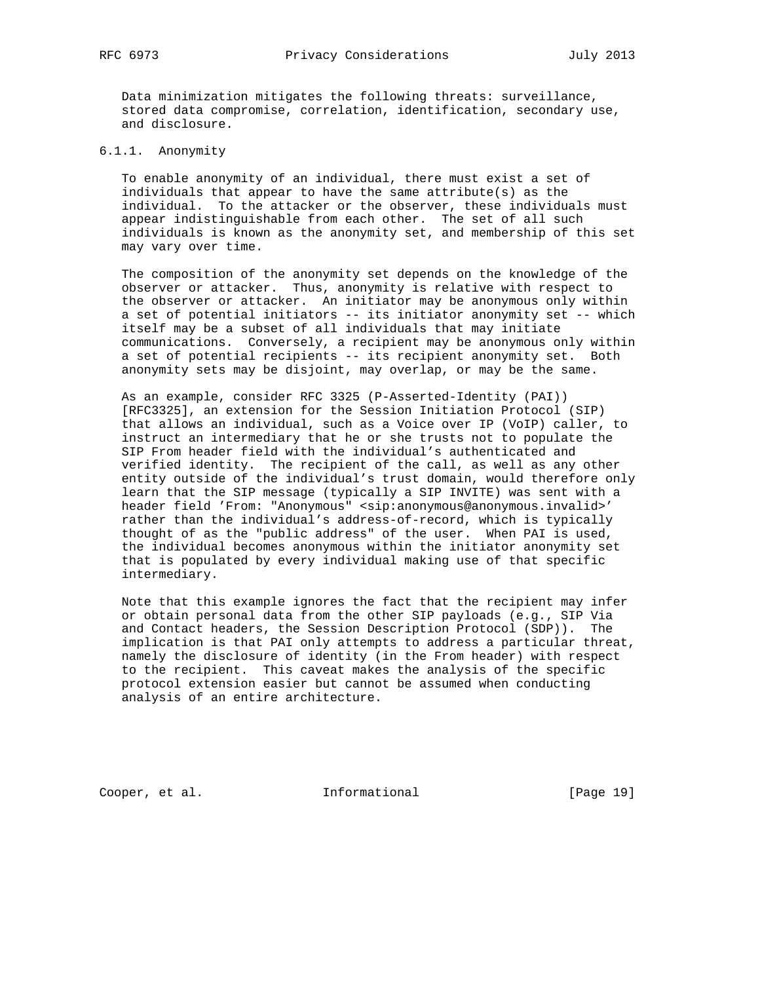Data minimization mitigates the following threats: surveillance, stored data compromise, correlation, identification, secondary use, and disclosure.

# 6.1.1. Anonymity

 To enable anonymity of an individual, there must exist a set of individuals that appear to have the same attribute(s) as the individual. To the attacker or the observer, these individuals must appear indistinguishable from each other. The set of all such individuals is known as the anonymity set, and membership of this set may vary over time.

 The composition of the anonymity set depends on the knowledge of the observer or attacker. Thus, anonymity is relative with respect to the observer or attacker. An initiator may be anonymous only within a set of potential initiators -- its initiator anonymity set -- which itself may be a subset of all individuals that may initiate communications. Conversely, a recipient may be anonymous only within a set of potential recipients -- its recipient anonymity set. Both anonymity sets may be disjoint, may overlap, or may be the same.

 As an example, consider RFC 3325 (P-Asserted-Identity (PAI)) [RFC3325], an extension for the Session Initiation Protocol (SIP) that allows an individual, such as a Voice over IP (VoIP) caller, to instruct an intermediary that he or she trusts not to populate the SIP From header field with the individual's authenticated and verified identity. The recipient of the call, as well as any other entity outside of the individual's trust domain, would therefore only learn that the SIP message (typically a SIP INVITE) was sent with a header field 'From: "Anonymous" <sip:anonymous@anonymous.invalid>' rather than the individual's address-of-record, which is typically thought of as the "public address" of the user. When PAI is used, the individual becomes anonymous within the initiator anonymity set that is populated by every individual making use of that specific intermediary.

 Note that this example ignores the fact that the recipient may infer or obtain personal data from the other SIP payloads (e.g., SIP Via and Contact headers, the Session Description Protocol (SDP)). The implication is that PAI only attempts to address a particular threat, namely the disclosure of identity (in the From header) with respect to the recipient. This caveat makes the analysis of the specific protocol extension easier but cannot be assumed when conducting analysis of an entire architecture.

Cooper, et al. 1nformational [Page 19]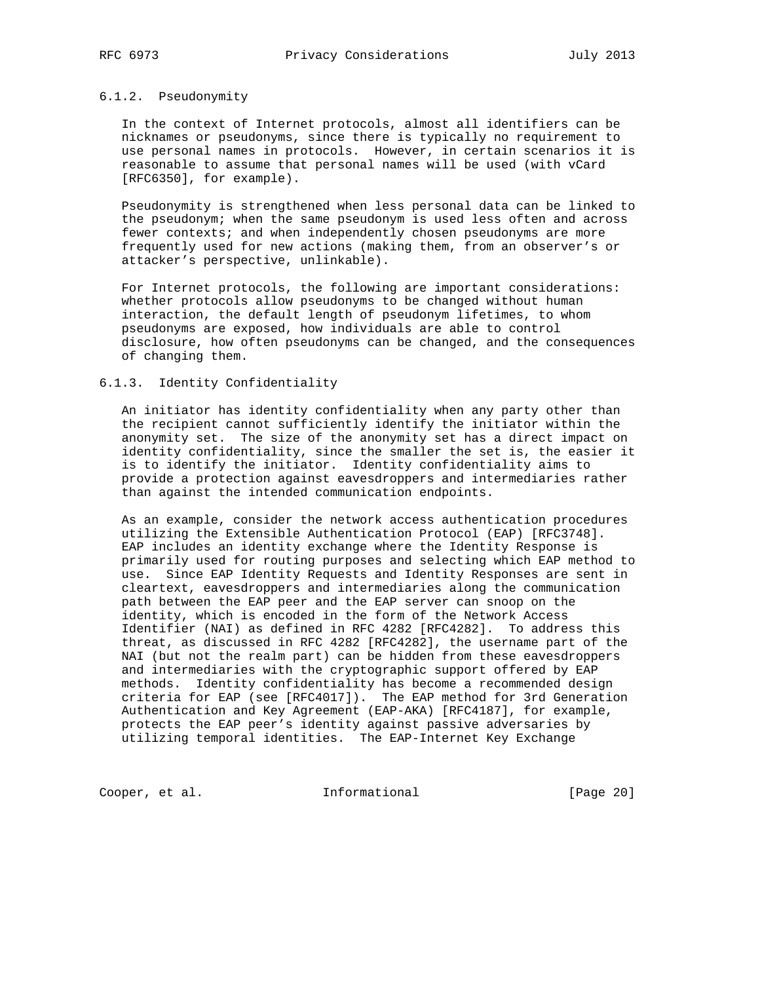#### 6.1.2. Pseudonymity

 In the context of Internet protocols, almost all identifiers can be nicknames or pseudonyms, since there is typically no requirement to use personal names in protocols. However, in certain scenarios it is reasonable to assume that personal names will be used (with vCard [RFC6350], for example).

 Pseudonymity is strengthened when less personal data can be linked to the pseudonym; when the same pseudonym is used less often and across fewer contexts; and when independently chosen pseudonyms are more frequently used for new actions (making them, from an observer's or attacker's perspective, unlinkable).

 For Internet protocols, the following are important considerations: whether protocols allow pseudonyms to be changed without human interaction, the default length of pseudonym lifetimes, to whom pseudonyms are exposed, how individuals are able to control disclosure, how often pseudonyms can be changed, and the consequences of changing them.

#### 6.1.3. Identity Confidentiality

 An initiator has identity confidentiality when any party other than the recipient cannot sufficiently identify the initiator within the anonymity set. The size of the anonymity set has a direct impact on identity confidentiality, since the smaller the set is, the easier it is to identify the initiator. Identity confidentiality aims to provide a protection against eavesdroppers and intermediaries rather than against the intended communication endpoints.

 As an example, consider the network access authentication procedures utilizing the Extensible Authentication Protocol (EAP) [RFC3748]. EAP includes an identity exchange where the Identity Response is primarily used for routing purposes and selecting which EAP method to use. Since EAP Identity Requests and Identity Responses are sent in cleartext, eavesdroppers and intermediaries along the communication path between the EAP peer and the EAP server can snoop on the identity, which is encoded in the form of the Network Access Identifier (NAI) as defined in RFC 4282 [RFC4282]. To address this threat, as discussed in RFC 4282 [RFC4282], the username part of the NAI (but not the realm part) can be hidden from these eavesdroppers and intermediaries with the cryptographic support offered by EAP methods. Identity confidentiality has become a recommended design criteria for EAP (see [RFC4017]). The EAP method for 3rd Generation Authentication and Key Agreement (EAP-AKA) [RFC4187], for example, protects the EAP peer's identity against passive adversaries by utilizing temporal identities. The EAP-Internet Key Exchange

Cooper, et al. 1nformational [Page 20]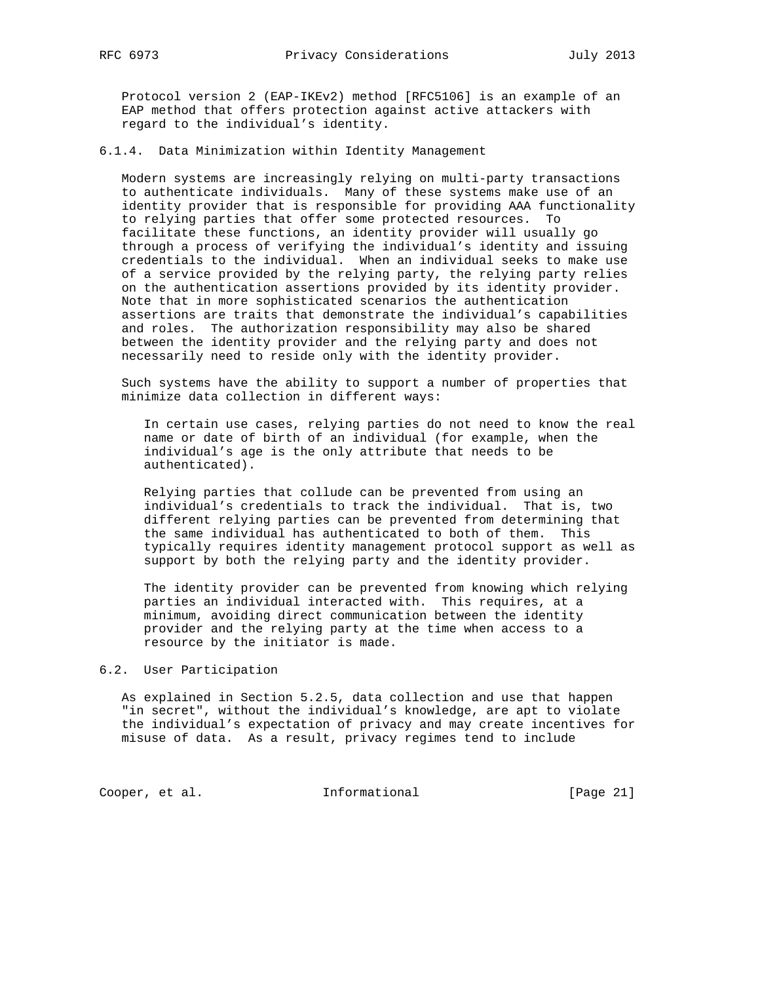Protocol version 2 (EAP-IKEv2) method [RFC5106] is an example of an EAP method that offers protection against active attackers with regard to the individual's identity.

6.1.4. Data Minimization within Identity Management

 Modern systems are increasingly relying on multi-party transactions to authenticate individuals. Many of these systems make use of an identity provider that is responsible for providing AAA functionality to relying parties that offer some protected resources. To facilitate these functions, an identity provider will usually go through a process of verifying the individual's identity and issuing credentials to the individual. When an individual seeks to make use of a service provided by the relying party, the relying party relies on the authentication assertions provided by its identity provider. Note that in more sophisticated scenarios the authentication assertions are traits that demonstrate the individual's capabilities and roles. The authorization responsibility may also be shared between the identity provider and the relying party and does not necessarily need to reside only with the identity provider.

 Such systems have the ability to support a number of properties that minimize data collection in different ways:

 In certain use cases, relying parties do not need to know the real name or date of birth of an individual (for example, when the individual's age is the only attribute that needs to be authenticated).

 Relying parties that collude can be prevented from using an individual's credentials to track the individual. That is, two different relying parties can be prevented from determining that the same individual has authenticated to both of them. This typically requires identity management protocol support as well as support by both the relying party and the identity provider.

 The identity provider can be prevented from knowing which relying parties an individual interacted with. This requires, at a minimum, avoiding direct communication between the identity provider and the relying party at the time when access to a resource by the initiator is made.

#### 6.2. User Participation

 As explained in Section 5.2.5, data collection and use that happen "in secret", without the individual's knowledge, are apt to violate the individual's expectation of privacy and may create incentives for misuse of data. As a result, privacy regimes tend to include

Cooper, et al. 1nformational [Page 21]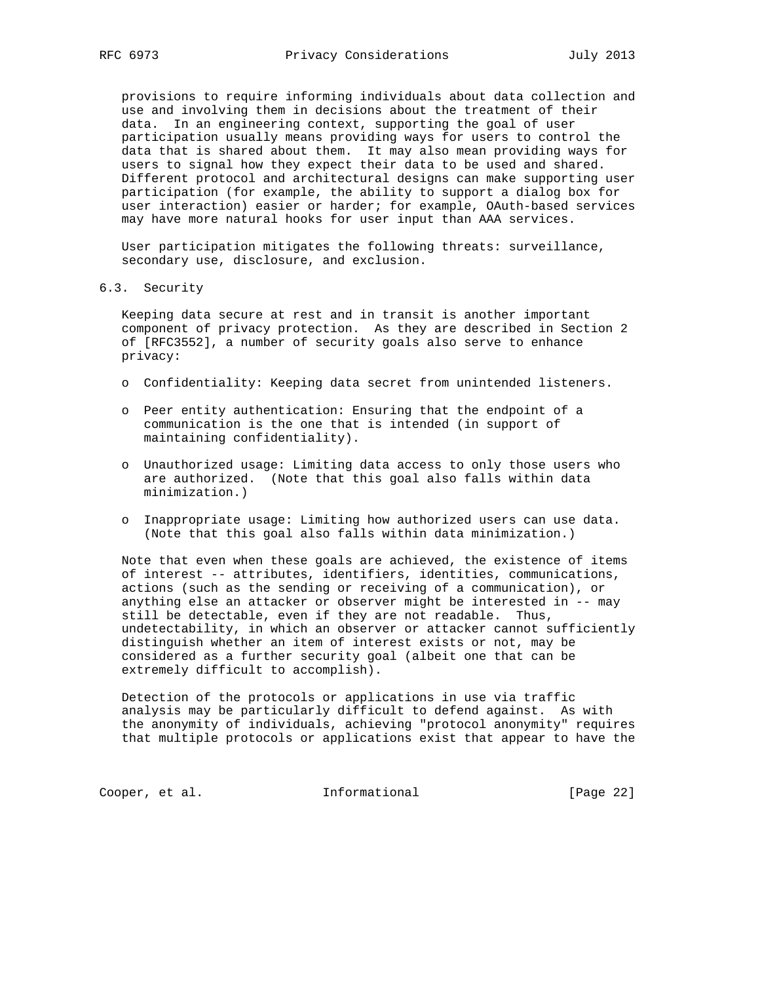provisions to require informing individuals about data collection and use and involving them in decisions about the treatment of their data. In an engineering context, supporting the goal of user participation usually means providing ways for users to control the data that is shared about them. It may also mean providing ways for users to signal how they expect their data to be used and shared. Different protocol and architectural designs can make supporting user participation (for example, the ability to support a dialog box for user interaction) easier or harder; for example, OAuth-based services may have more natural hooks for user input than AAA services.

 User participation mitigates the following threats: surveillance, secondary use, disclosure, and exclusion.

#### 6.3. Security

 Keeping data secure at rest and in transit is another important component of privacy protection. As they are described in Section 2 of [RFC3552], a number of security goals also serve to enhance privacy:

- o Confidentiality: Keeping data secret from unintended listeners.
- o Peer entity authentication: Ensuring that the endpoint of a communication is the one that is intended (in support of maintaining confidentiality).
- o Unauthorized usage: Limiting data access to only those users who are authorized. (Note that this goal also falls within data minimization.)
- o Inappropriate usage: Limiting how authorized users can use data. (Note that this goal also falls within data minimization.)

 Note that even when these goals are achieved, the existence of items of interest -- attributes, identifiers, identities, communications, actions (such as the sending or receiving of a communication), or anything else an attacker or observer might be interested in -- may still be detectable, even if they are not readable. Thus, undetectability, in which an observer or attacker cannot sufficiently distinguish whether an item of interest exists or not, may be considered as a further security goal (albeit one that can be extremely difficult to accomplish).

 Detection of the protocols or applications in use via traffic analysis may be particularly difficult to defend against. As with the anonymity of individuals, achieving "protocol anonymity" requires that multiple protocols or applications exist that appear to have the

Cooper, et al. 1nformational [Page 22]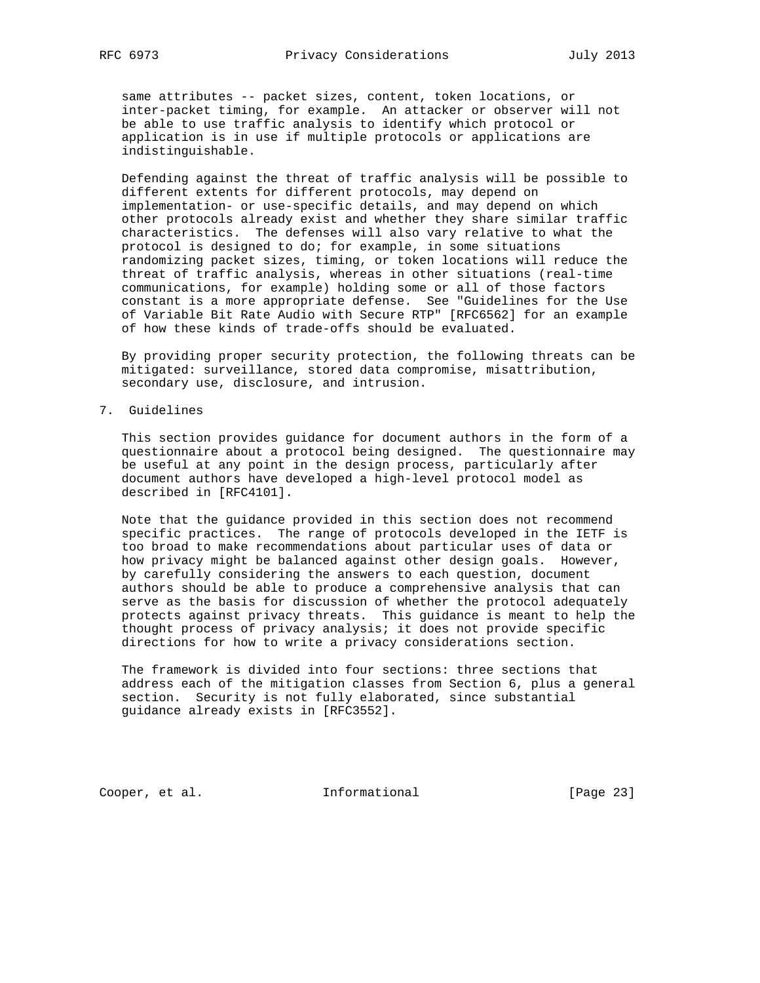same attributes -- packet sizes, content, token locations, or inter-packet timing, for example. An attacker or observer will not be able to use traffic analysis to identify which protocol or application is in use if multiple protocols or applications are indistinguishable.

 Defending against the threat of traffic analysis will be possible to different extents for different protocols, may depend on implementation- or use-specific details, and may depend on which other protocols already exist and whether they share similar traffic characteristics. The defenses will also vary relative to what the protocol is designed to do; for example, in some situations randomizing packet sizes, timing, or token locations will reduce the threat of traffic analysis, whereas in other situations (real-time communications, for example) holding some or all of those factors constant is a more appropriate defense. See "Guidelines for the Use of Variable Bit Rate Audio with Secure RTP" [RFC6562] for an example of how these kinds of trade-offs should be evaluated.

 By providing proper security protection, the following threats can be mitigated: surveillance, stored data compromise, misattribution, secondary use, disclosure, and intrusion.

7. Guidelines

 This section provides guidance for document authors in the form of a questionnaire about a protocol being designed. The questionnaire may be useful at any point in the design process, particularly after document authors have developed a high-level protocol model as described in [RFC4101].

 Note that the guidance provided in this section does not recommend specific practices. The range of protocols developed in the IETF is too broad to make recommendations about particular uses of data or how privacy might be balanced against other design goals. However, by carefully considering the answers to each question, document authors should be able to produce a comprehensive analysis that can serve as the basis for discussion of whether the protocol adequately protects against privacy threats. This guidance is meant to help the thought process of privacy analysis; it does not provide specific directions for how to write a privacy considerations section.

 The framework is divided into four sections: three sections that address each of the mitigation classes from Section 6, plus a general section. Security is not fully elaborated, since substantial guidance already exists in [RFC3552].

Cooper, et al. 1nformational [Page 23]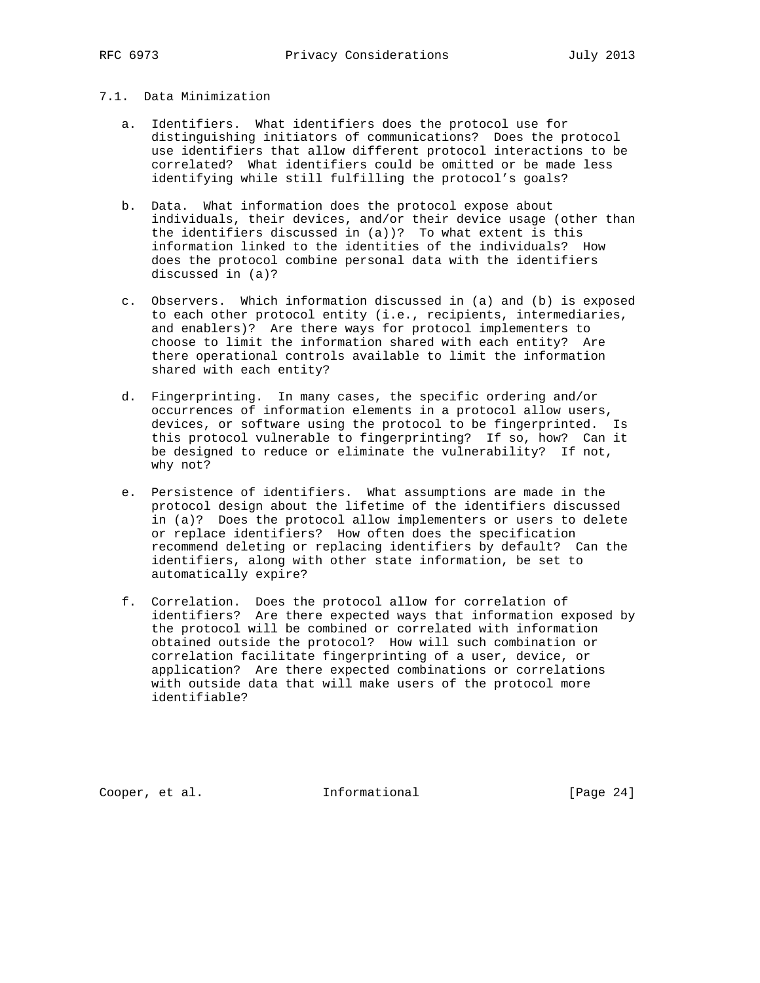# 7.1. Data Minimization

- a. Identifiers. What identifiers does the protocol use for distinguishing initiators of communications? Does the protocol use identifiers that allow different protocol interactions to be correlated? What identifiers could be omitted or be made less identifying while still fulfilling the protocol's goals?
- b. Data. What information does the protocol expose about individuals, their devices, and/or their device usage (other than the identifiers discussed in (a))? To what extent is this information linked to the identities of the individuals? How does the protocol combine personal data with the identifiers discussed in (a)?
- c. Observers. Which information discussed in (a) and (b) is exposed to each other protocol entity (i.e., recipients, intermediaries, and enablers)? Are there ways for protocol implementers to choose to limit the information shared with each entity? Are there operational controls available to limit the information shared with each entity?
- d. Fingerprinting. In many cases, the specific ordering and/or occurrences of information elements in a protocol allow users, devices, or software using the protocol to be fingerprinted. Is this protocol vulnerable to fingerprinting? If so, how? Can it be designed to reduce or eliminate the vulnerability? If not, why not?
- e. Persistence of identifiers. What assumptions are made in the protocol design about the lifetime of the identifiers discussed in (a)? Does the protocol allow implementers or users to delete or replace identifiers? How often does the specification recommend deleting or replacing identifiers by default? Can the identifiers, along with other state information, be set to automatically expire?
- f. Correlation. Does the protocol allow for correlation of identifiers? Are there expected ways that information exposed by the protocol will be combined or correlated with information obtained outside the protocol? How will such combination or correlation facilitate fingerprinting of a user, device, or application? Are there expected combinations or correlations with outside data that will make users of the protocol more identifiable?

Cooper, et al. 1nformational [Page 24]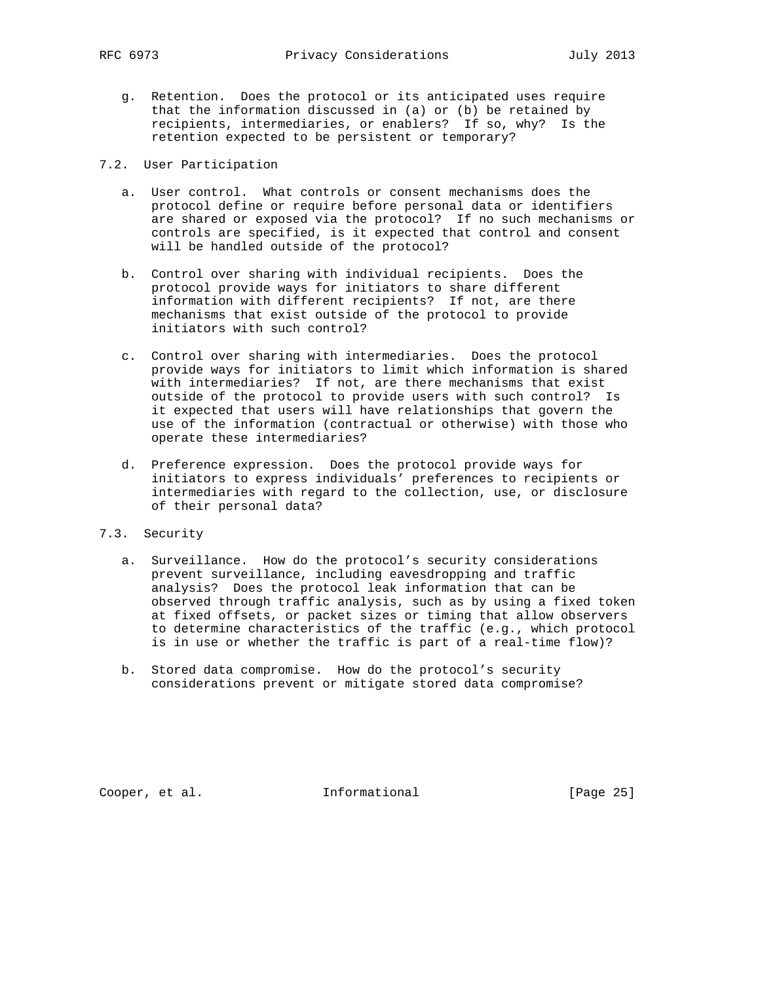- g. Retention. Does the protocol or its anticipated uses require that the information discussed in (a) or (b) be retained by recipients, intermediaries, or enablers? If so, why? Is the retention expected to be persistent or temporary?
- 7.2. User Participation
	- a. User control. What controls or consent mechanisms does the protocol define or require before personal data or identifiers are shared or exposed via the protocol? If no such mechanisms or controls are specified, is it expected that control and consent will be handled outside of the protocol?
	- b. Control over sharing with individual recipients. Does the protocol provide ways for initiators to share different information with different recipients? If not, are there mechanisms that exist outside of the protocol to provide initiators with such control?
	- c. Control over sharing with intermediaries. Does the protocol provide ways for initiators to limit which information is shared with intermediaries? If not, are there mechanisms that exist outside of the protocol to provide users with such control? Is it expected that users will have relationships that govern the use of the information (contractual or otherwise) with those who operate these intermediaries?
	- d. Preference expression. Does the protocol provide ways for initiators to express individuals' preferences to recipients or intermediaries with regard to the collection, use, or disclosure of their personal data?
- 7.3. Security
	- a. Surveillance. How do the protocol's security considerations prevent surveillance, including eavesdropping and traffic analysis? Does the protocol leak information that can be observed through traffic analysis, such as by using a fixed token at fixed offsets, or packet sizes or timing that allow observers to determine characteristics of the traffic (e.g., which protocol is in use or whether the traffic is part of a real-time flow)?
	- b. Stored data compromise. How do the protocol's security considerations prevent or mitigate stored data compromise?

Cooper, et al. 1nformational [Page 25]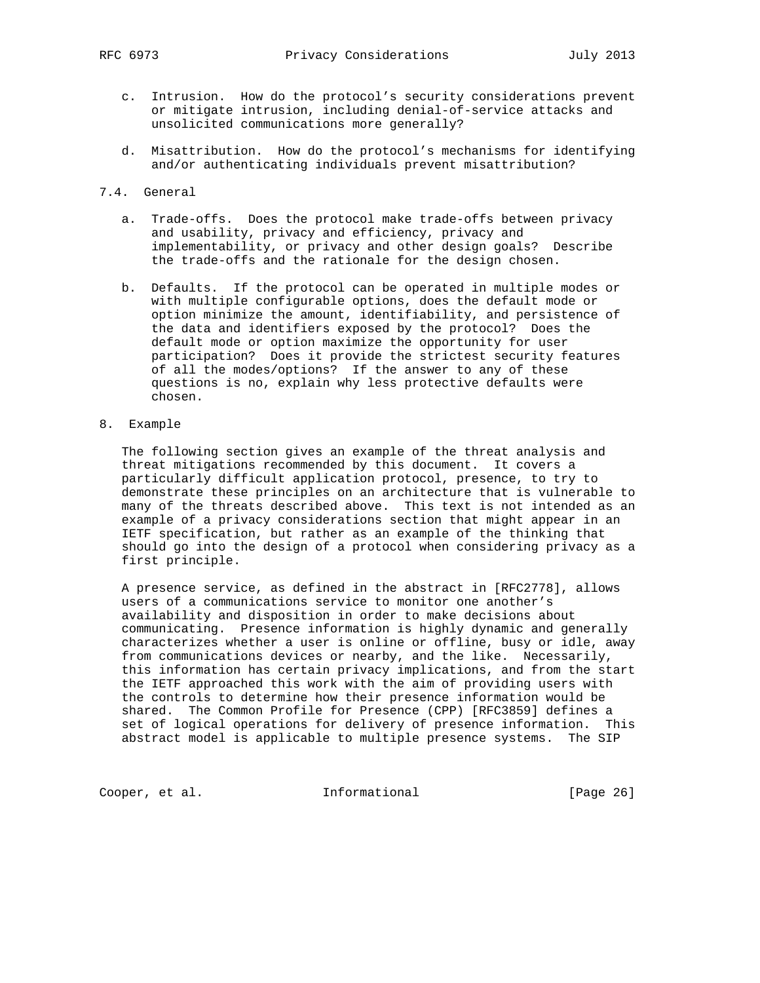- c. Intrusion. How do the protocol's security considerations prevent or mitigate intrusion, including denial-of-service attacks and unsolicited communications more generally?
- d. Misattribution. How do the protocol's mechanisms for identifying and/or authenticating individuals prevent misattribution?
- 7.4. General
	- a. Trade-offs. Does the protocol make trade-offs between privacy and usability, privacy and efficiency, privacy and implementability, or privacy and other design goals? Describe the trade-offs and the rationale for the design chosen.
	- b. Defaults. If the protocol can be operated in multiple modes or with multiple configurable options, does the default mode or option minimize the amount, identifiability, and persistence of the data and identifiers exposed by the protocol? Does the default mode or option maximize the opportunity for user participation? Does it provide the strictest security features of all the modes/options? If the answer to any of these questions is no, explain why less protective defaults were chosen.
- 8. Example

 The following section gives an example of the threat analysis and threat mitigations recommended by this document. It covers a particularly difficult application protocol, presence, to try to demonstrate these principles on an architecture that is vulnerable to many of the threats described above. This text is not intended as an example of a privacy considerations section that might appear in an IETF specification, but rather as an example of the thinking that should go into the design of a protocol when considering privacy as a first principle.

 A presence service, as defined in the abstract in [RFC2778], allows users of a communications service to monitor one another's availability and disposition in order to make decisions about communicating. Presence information is highly dynamic and generally characterizes whether a user is online or offline, busy or idle, away from communications devices or nearby, and the like. Necessarily, this information has certain privacy implications, and from the start the IETF approached this work with the aim of providing users with the controls to determine how their presence information would be shared. The Common Profile for Presence (CPP) [RFC3859] defines a set of logical operations for delivery of presence information. This abstract model is applicable to multiple presence systems. The SIP

Cooper, et al. 1nformational [Page 26]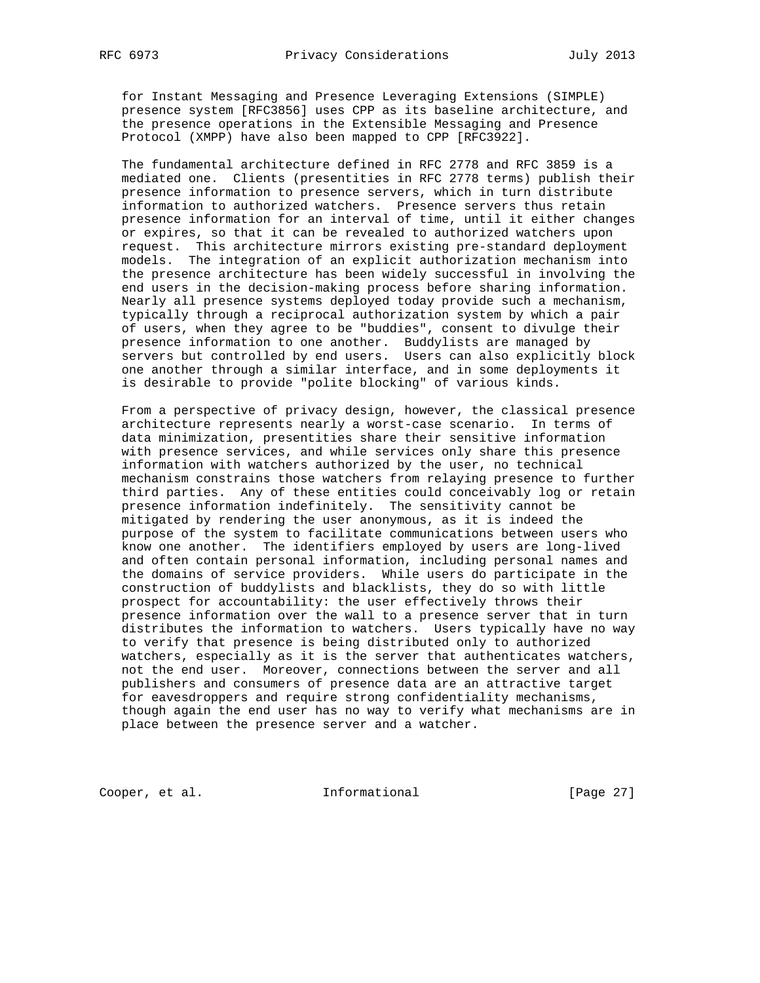for Instant Messaging and Presence Leveraging Extensions (SIMPLE) presence system [RFC3856] uses CPP as its baseline architecture, and the presence operations in the Extensible Messaging and Presence Protocol (XMPP) have also been mapped to CPP [RFC3922].

 The fundamental architecture defined in RFC 2778 and RFC 3859 is a mediated one. Clients (presentities in RFC 2778 terms) publish their presence information to presence servers, which in turn distribute information to authorized watchers. Presence servers thus retain presence information for an interval of time, until it either changes or expires, so that it can be revealed to authorized watchers upon request. This architecture mirrors existing pre-standard deployment models. The integration of an explicit authorization mechanism into the presence architecture has been widely successful in involving the end users in the decision-making process before sharing information. Nearly all presence systems deployed today provide such a mechanism, typically through a reciprocal authorization system by which a pair of users, when they agree to be "buddies", consent to divulge their presence information to one another. Buddylists are managed by servers but controlled by end users. Users can also explicitly block one another through a similar interface, and in some deployments it is desirable to provide "polite blocking" of various kinds.

 From a perspective of privacy design, however, the classical presence architecture represents nearly a worst-case scenario. In terms of data minimization, presentities share their sensitive information with presence services, and while services only share this presence information with watchers authorized by the user, no technical mechanism constrains those watchers from relaying presence to further third parties. Any of these entities could conceivably log or retain presence information indefinitely. The sensitivity cannot be mitigated by rendering the user anonymous, as it is indeed the purpose of the system to facilitate communications between users who know one another. The identifiers employed by users are long-lived and often contain personal information, including personal names and the domains of service providers. While users do participate in the construction of buddylists and blacklists, they do so with little prospect for accountability: the user effectively throws their presence information over the wall to a presence server that in turn distributes the information to watchers. Users typically have no way to verify that presence is being distributed only to authorized watchers, especially as it is the server that authenticates watchers, not the end user. Moreover, connections between the server and all publishers and consumers of presence data are an attractive target for eavesdroppers and require strong confidentiality mechanisms, though again the end user has no way to verify what mechanisms are in place between the presence server and a watcher.

Cooper, et al. 1nformational [Page 27]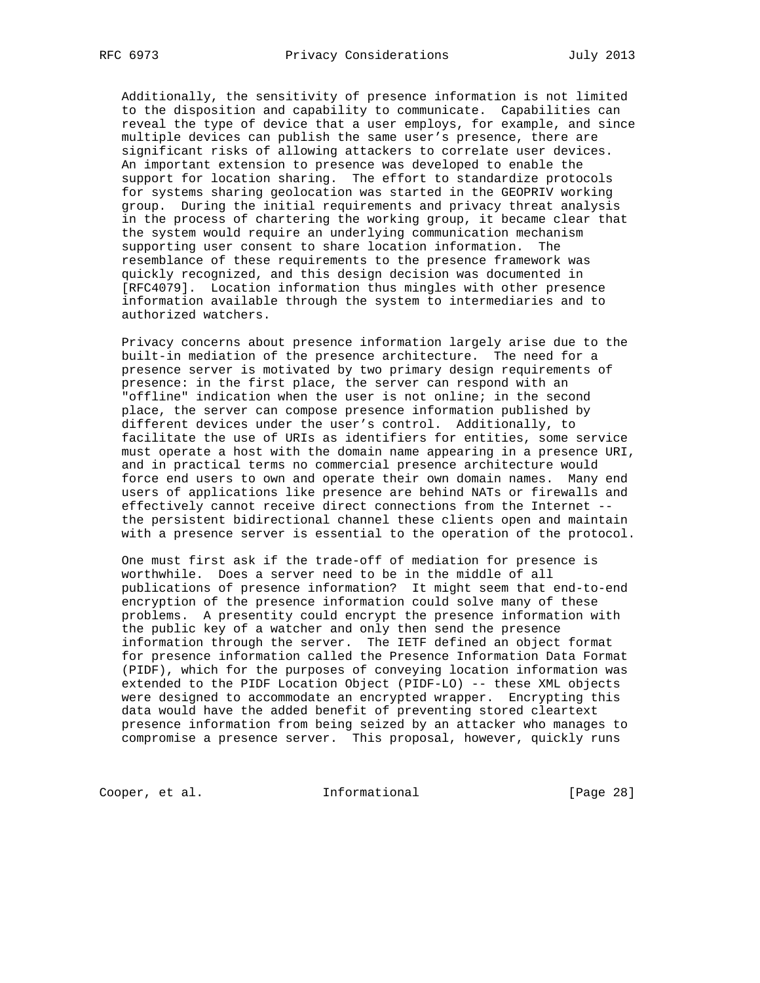Additionally, the sensitivity of presence information is not limited to the disposition and capability to communicate. Capabilities can reveal the type of device that a user employs, for example, and since multiple devices can publish the same user's presence, there are significant risks of allowing attackers to correlate user devices. An important extension to presence was developed to enable the support for location sharing. The effort to standardize protocols for systems sharing geolocation was started in the GEOPRIV working group. During the initial requirements and privacy threat analysis in the process of chartering the working group, it became clear that the system would require an underlying communication mechanism supporting user consent to share location information. The resemblance of these requirements to the presence framework was quickly recognized, and this design decision was documented in [RFC4079]. Location information thus mingles with other presence information available through the system to intermediaries and to authorized watchers.

 Privacy concerns about presence information largely arise due to the built-in mediation of the presence architecture. The need for a presence server is motivated by two primary design requirements of presence: in the first place, the server can respond with an "offline" indication when the user is not online; in the second place, the server can compose presence information published by different devices under the user's control. Additionally, to facilitate the use of URIs as identifiers for entities, some service must operate a host with the domain name appearing in a presence URI, and in practical terms no commercial presence architecture would force end users to own and operate their own domain names. Many end users of applications like presence are behind NATs or firewalls and effectively cannot receive direct connections from the Internet - the persistent bidirectional channel these clients open and maintain with a presence server is essential to the operation of the protocol.

 One must first ask if the trade-off of mediation for presence is worthwhile. Does a server need to be in the middle of all publications of presence information? It might seem that end-to-end encryption of the presence information could solve many of these problems. A presentity could encrypt the presence information with the public key of a watcher and only then send the presence information through the server. The IETF defined an object format for presence information called the Presence Information Data Format (PIDF), which for the purposes of conveying location information was extended to the PIDF Location Object (PIDF-LO) -- these XML objects were designed to accommodate an encrypted wrapper. Encrypting this data would have the added benefit of preventing stored cleartext presence information from being seized by an attacker who manages to compromise a presence server. This proposal, however, quickly runs

Cooper, et al. 1nformational [Page 28]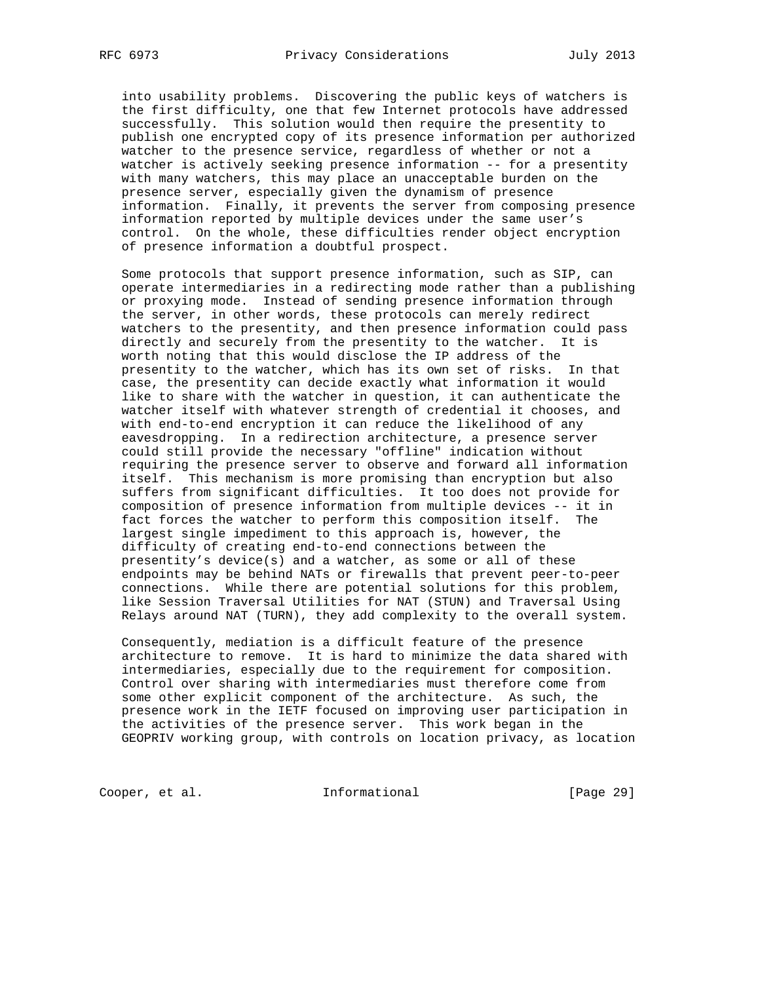into usability problems. Discovering the public keys of watchers is the first difficulty, one that few Internet protocols have addressed successfully. This solution would then require the presentity to publish one encrypted copy of its presence information per authorized watcher to the presence service, regardless of whether or not a watcher is actively seeking presence information -- for a presentity with many watchers, this may place an unacceptable burden on the presence server, especially given the dynamism of presence information. Finally, it prevents the server from composing presence information reported by multiple devices under the same user's control. On the whole, these difficulties render object encryption of presence information a doubtful prospect.

 Some protocols that support presence information, such as SIP, can operate intermediaries in a redirecting mode rather than a publishing or proxying mode. Instead of sending presence information through the server, in other words, these protocols can merely redirect watchers to the presentity, and then presence information could pass directly and securely from the presentity to the watcher. It is worth noting that this would disclose the IP address of the presentity to the watcher, which has its own set of risks. In that case, the presentity can decide exactly what information it would like to share with the watcher in question, it can authenticate the watcher itself with whatever strength of credential it chooses, and with end-to-end encryption it can reduce the likelihood of any eavesdropping. In a redirection architecture, a presence server could still provide the necessary "offline" indication without requiring the presence server to observe and forward all information itself. This mechanism is more promising than encryption but also suffers from significant difficulties. It too does not provide for composition of presence information from multiple devices -- it in fact forces the watcher to perform this composition itself. The largest single impediment to this approach is, however, the difficulty of creating end-to-end connections between the presentity's device(s) and a watcher, as some or all of these endpoints may be behind NATs or firewalls that prevent peer-to-peer connections. While there are potential solutions for this problem, like Session Traversal Utilities for NAT (STUN) and Traversal Using Relays around NAT (TURN), they add complexity to the overall system.

 Consequently, mediation is a difficult feature of the presence architecture to remove. It is hard to minimize the data shared with intermediaries, especially due to the requirement for composition. Control over sharing with intermediaries must therefore come from some other explicit component of the architecture. As such, the presence work in the IETF focused on improving user participation in the activities of the presence server. This work began in the GEOPRIV working group, with controls on location privacy, as location

Cooper, et al. 1nformational [Page 29]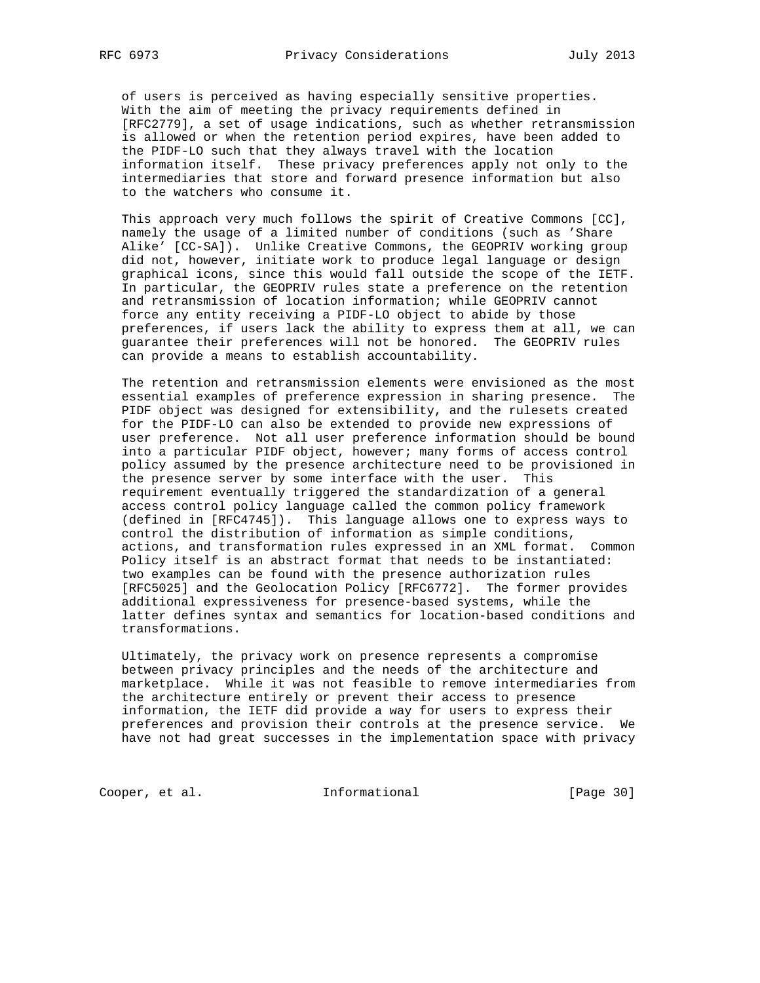of users is perceived as having especially sensitive properties. With the aim of meeting the privacy requirements defined in [RFC2779], a set of usage indications, such as whether retransmission is allowed or when the retention period expires, have been added to the PIDF-LO such that they always travel with the location information itself. These privacy preferences apply not only to the intermediaries that store and forward presence information but also to the watchers who consume it.

 This approach very much follows the spirit of Creative Commons [CC], namely the usage of a limited number of conditions (such as 'Share Alike' [CC-SA]). Unlike Creative Commons, the GEOPRIV working group did not, however, initiate work to produce legal language or design graphical icons, since this would fall outside the scope of the IETF. In particular, the GEOPRIV rules state a preference on the retention and retransmission of location information; while GEOPRIV cannot force any entity receiving a PIDF-LO object to abide by those preferences, if users lack the ability to express them at all, we can guarantee their preferences will not be honored. The GEOPRIV rules can provide a means to establish accountability.

 The retention and retransmission elements were envisioned as the most essential examples of preference expression in sharing presence. The PIDF object was designed for extensibility, and the rulesets created for the PIDF-LO can also be extended to provide new expressions of user preference. Not all user preference information should be bound into a particular PIDF object, however; many forms of access control policy assumed by the presence architecture need to be provisioned in the presence server by some interface with the user. This requirement eventually triggered the standardization of a general access control policy language called the common policy framework (defined in [RFC4745]). This language allows one to express ways to control the distribution of information as simple conditions, actions, and transformation rules expressed in an XML format. Common Policy itself is an abstract format that needs to be instantiated: two examples can be found with the presence authorization rules [RFC5025] and the Geolocation Policy [RFC6772]. The former provides additional expressiveness for presence-based systems, while the latter defines syntax and semantics for location-based conditions and transformations.

 Ultimately, the privacy work on presence represents a compromise between privacy principles and the needs of the architecture and marketplace. While it was not feasible to remove intermediaries from the architecture entirely or prevent their access to presence information, the IETF did provide a way for users to express their preferences and provision their controls at the presence service. We have not had great successes in the implementation space with privacy

Cooper, et al. 1nformational [Page 30]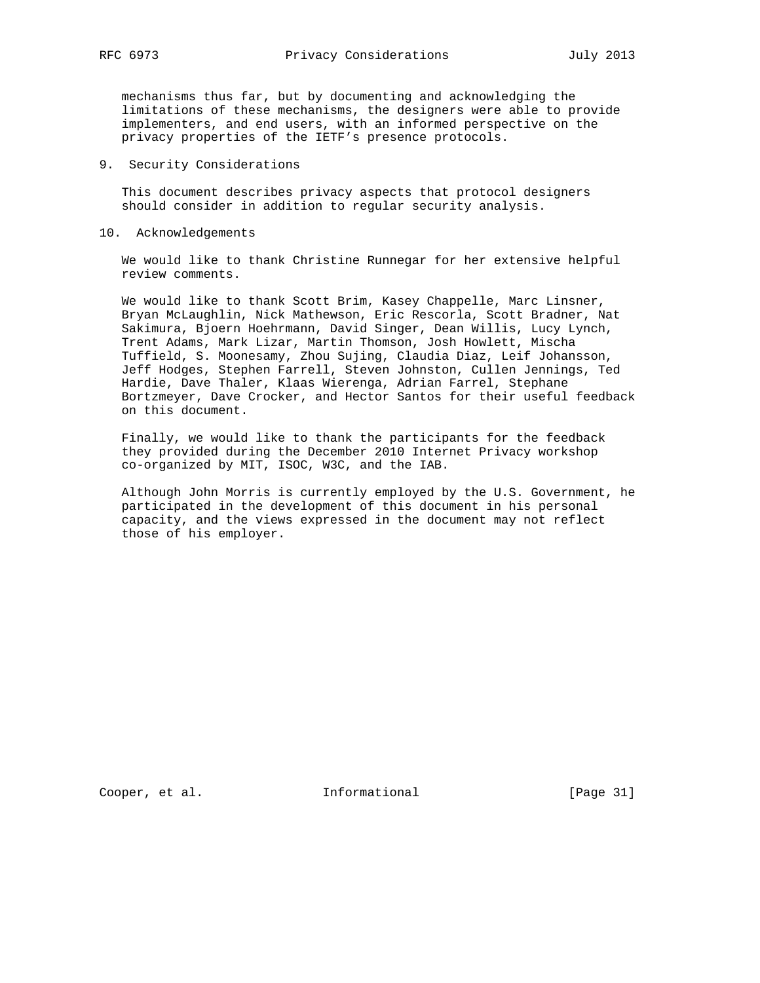mechanisms thus far, but by documenting and acknowledging the limitations of these mechanisms, the designers were able to provide implementers, and end users, with an informed perspective on the privacy properties of the IETF's presence protocols.

9. Security Considerations

 This document describes privacy aspects that protocol designers should consider in addition to regular security analysis.

10. Acknowledgements

 We would like to thank Christine Runnegar for her extensive helpful review comments.

 We would like to thank Scott Brim, Kasey Chappelle, Marc Linsner, Bryan McLaughlin, Nick Mathewson, Eric Rescorla, Scott Bradner, Nat Sakimura, Bjoern Hoehrmann, David Singer, Dean Willis, Lucy Lynch, Trent Adams, Mark Lizar, Martin Thomson, Josh Howlett, Mischa Tuffield, S. Moonesamy, Zhou Sujing, Claudia Diaz, Leif Johansson, Jeff Hodges, Stephen Farrell, Steven Johnston, Cullen Jennings, Ted Hardie, Dave Thaler, Klaas Wierenga, Adrian Farrel, Stephane Bortzmeyer, Dave Crocker, and Hector Santos for their useful feedback on this document.

 Finally, we would like to thank the participants for the feedback they provided during the December 2010 Internet Privacy workshop co-organized by MIT, ISOC, W3C, and the IAB.

 Although John Morris is currently employed by the U.S. Government, he participated in the development of this document in his personal capacity, and the views expressed in the document may not reflect those of his employer.

Cooper, et al. 1nformational [Page 31]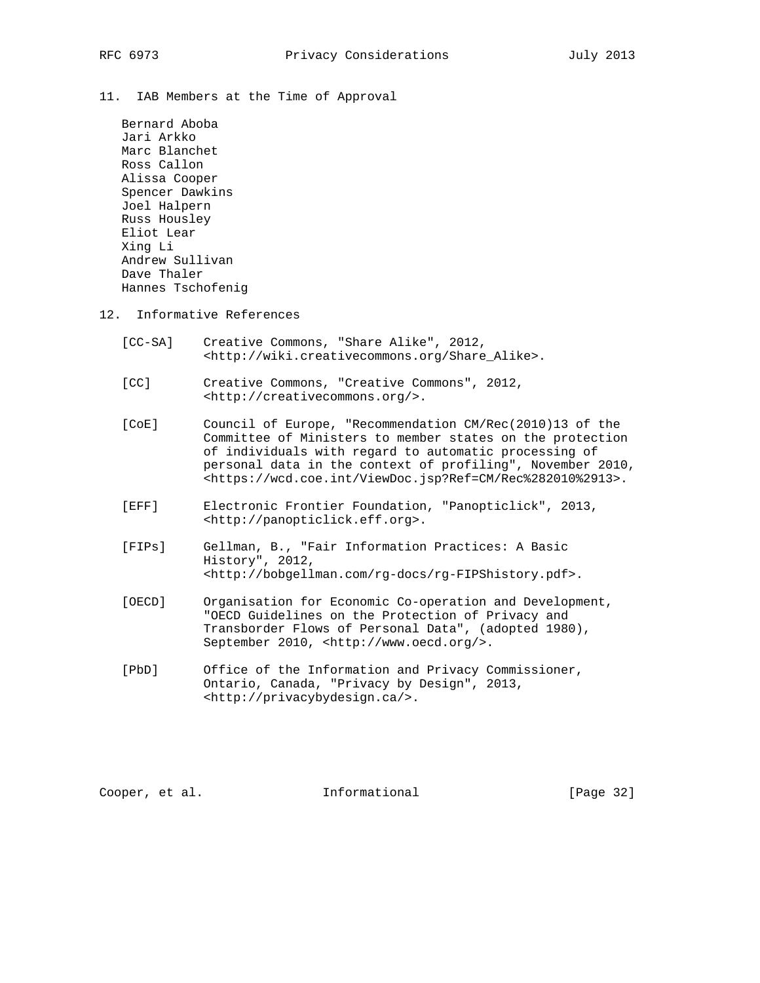11. IAB Members at the Time of Approval

 Bernard Aboba Jari Arkko Marc Blanchet Ross Callon Alissa Cooper Spencer Dawkins Joel Halpern Russ Housley Eliot Lear Xing Li Andrew Sullivan Dave Thaler Hannes Tschofenig

- 12. Informative References
	- [CC-SA] Creative Commons, "Share Alike", 2012, <http://wiki.creativecommons.org/Share\_Alike>.
	- [CC] Creative Commons, "Creative Commons", 2012, <http://creativecommons.org/>.
	- [CoE] Council of Europe, "Recommendation CM/Rec(2010)13 of the Committee of Ministers to member states on the protection of individuals with regard to automatic processing of personal data in the context of profiling", November 2010, <https://wcd.coe.int/ViewDoc.jsp?Ref=CM/Rec%282010%2913>.
	- [EFF] Electronic Frontier Foundation, "Panopticlick", 2013, <http://panopticlick.eff.org>.
	- [FIPs] Gellman, B., "Fair Information Practices: A Basic History", 2012, <http://bobgellman.com/rg-docs/rg-FIPShistory.pdf>.
	- [OECD] Organisation for Economic Co-operation and Development, "OECD Guidelines on the Protection of Privacy and Transborder Flows of Personal Data", (adopted 1980), September 2010, <http://www.oecd.org/>.
	- [PbD] Office of the Information and Privacy Commissioner, Ontario, Canada, "Privacy by Design", 2013, <http://privacybydesign.ca/>.

Cooper, et al. Informational [Page 32]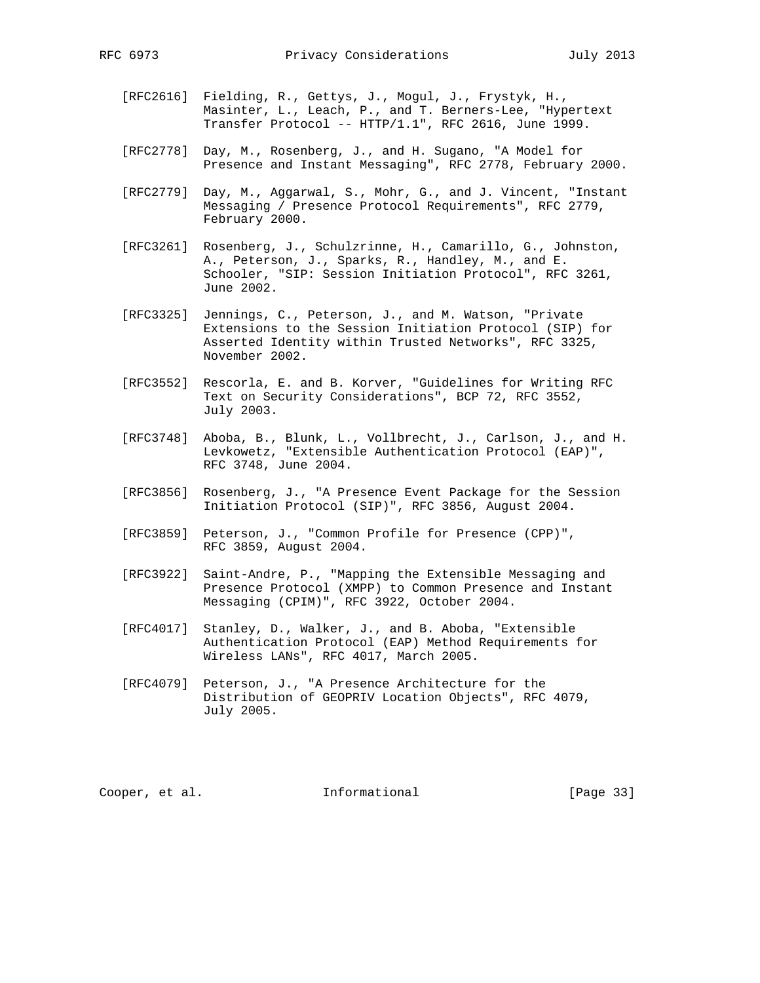- [RFC2616] Fielding, R., Gettys, J., Mogul, J., Frystyk, H., Masinter, L., Leach, P., and T. Berners-Lee, "Hypertext Transfer Protocol -- HTTP/1.1", RFC 2616, June 1999.
- [RFC2778] Day, M., Rosenberg, J., and H. Sugano, "A Model for Presence and Instant Messaging", RFC 2778, February 2000.
- [RFC2779] Day, M., Aggarwal, S., Mohr, G., and J. Vincent, "Instant Messaging / Presence Protocol Requirements", RFC 2779, February 2000.
- [RFC3261] Rosenberg, J., Schulzrinne, H., Camarillo, G., Johnston, A., Peterson, J., Sparks, R., Handley, M., and E. Schooler, "SIP: Session Initiation Protocol", RFC 3261, June 2002.
- [RFC3325] Jennings, C., Peterson, J., and M. Watson, "Private Extensions to the Session Initiation Protocol (SIP) for Asserted Identity within Trusted Networks", RFC 3325, November 2002.
- [RFC3552] Rescorla, E. and B. Korver, "Guidelines for Writing RFC Text on Security Considerations", BCP 72, RFC 3552, July 2003.
- [RFC3748] Aboba, B., Blunk, L., Vollbrecht, J., Carlson, J., and H. Levkowetz, "Extensible Authentication Protocol (EAP)", RFC 3748, June 2004.
- [RFC3856] Rosenberg, J., "A Presence Event Package for the Session Initiation Protocol (SIP)", RFC 3856, August 2004.
- [RFC3859] Peterson, J., "Common Profile for Presence (CPP)", RFC 3859, August 2004.
- [RFC3922] Saint-Andre, P., "Mapping the Extensible Messaging and Presence Protocol (XMPP) to Common Presence and Instant Messaging (CPIM)", RFC 3922, October 2004.
- [RFC4017] Stanley, D., Walker, J., and B. Aboba, "Extensible Authentication Protocol (EAP) Method Requirements for Wireless LANs", RFC 4017, March 2005.
- [RFC4079] Peterson, J., "A Presence Architecture for the Distribution of GEOPRIV Location Objects", RFC 4079, July 2005.

Cooper, et al. 1nformational [Page 33]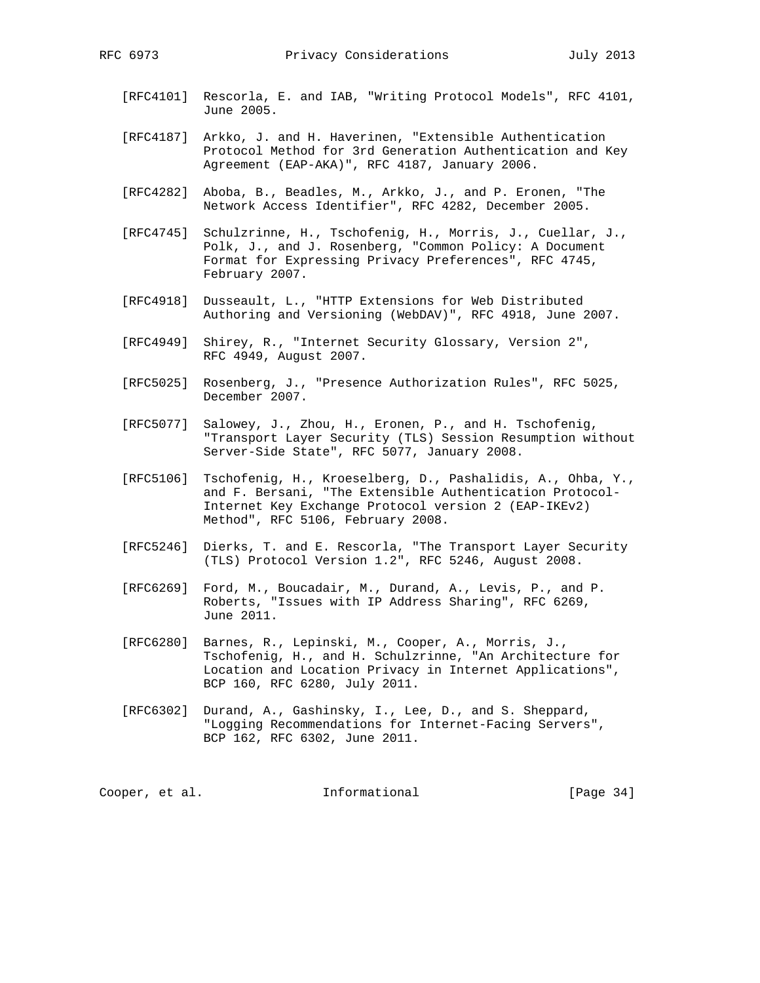- [RFC4101] Rescorla, E. and IAB, "Writing Protocol Models", RFC 4101, June 2005.
- [RFC4187] Arkko, J. and H. Haverinen, "Extensible Authentication Protocol Method for 3rd Generation Authentication and Key Agreement (EAP-AKA)", RFC 4187, January 2006.
- [RFC4282] Aboba, B., Beadles, M., Arkko, J., and P. Eronen, "The Network Access Identifier", RFC 4282, December 2005.
- [RFC4745] Schulzrinne, H., Tschofenig, H., Morris, J., Cuellar, J., Polk, J., and J. Rosenberg, "Common Policy: A Document Format for Expressing Privacy Preferences", RFC 4745, February 2007.
- [RFC4918] Dusseault, L., "HTTP Extensions for Web Distributed Authoring and Versioning (WebDAV)", RFC 4918, June 2007.
- [RFC4949] Shirey, R., "Internet Security Glossary, Version 2", RFC 4949, August 2007.
- [RFC5025] Rosenberg, J., "Presence Authorization Rules", RFC 5025, December 2007.
- [RFC5077] Salowey, J., Zhou, H., Eronen, P., and H. Tschofenig, "Transport Layer Security (TLS) Session Resumption without Server-Side State", RFC 5077, January 2008.
- [RFC5106] Tschofenig, H., Kroeselberg, D., Pashalidis, A., Ohba, Y., and F. Bersani, "The Extensible Authentication Protocol- Internet Key Exchange Protocol version 2 (EAP-IKEv2) Method", RFC 5106, February 2008.
- [RFC5246] Dierks, T. and E. Rescorla, "The Transport Layer Security (TLS) Protocol Version 1.2", RFC 5246, August 2008.
- [RFC6269] Ford, M., Boucadair, M., Durand, A., Levis, P., and P. Roberts, "Issues with IP Address Sharing", RFC 6269, June 2011.
- [RFC6280] Barnes, R., Lepinski, M., Cooper, A., Morris, J., Tschofenig, H., and H. Schulzrinne, "An Architecture for Location and Location Privacy in Internet Applications", BCP 160, RFC 6280, July 2011.
- [RFC6302] Durand, A., Gashinsky, I., Lee, D., and S. Sheppard, "Logging Recommendations for Internet-Facing Servers", BCP 162, RFC 6302, June 2011.

Cooper, et al. 1nformational [Page 34]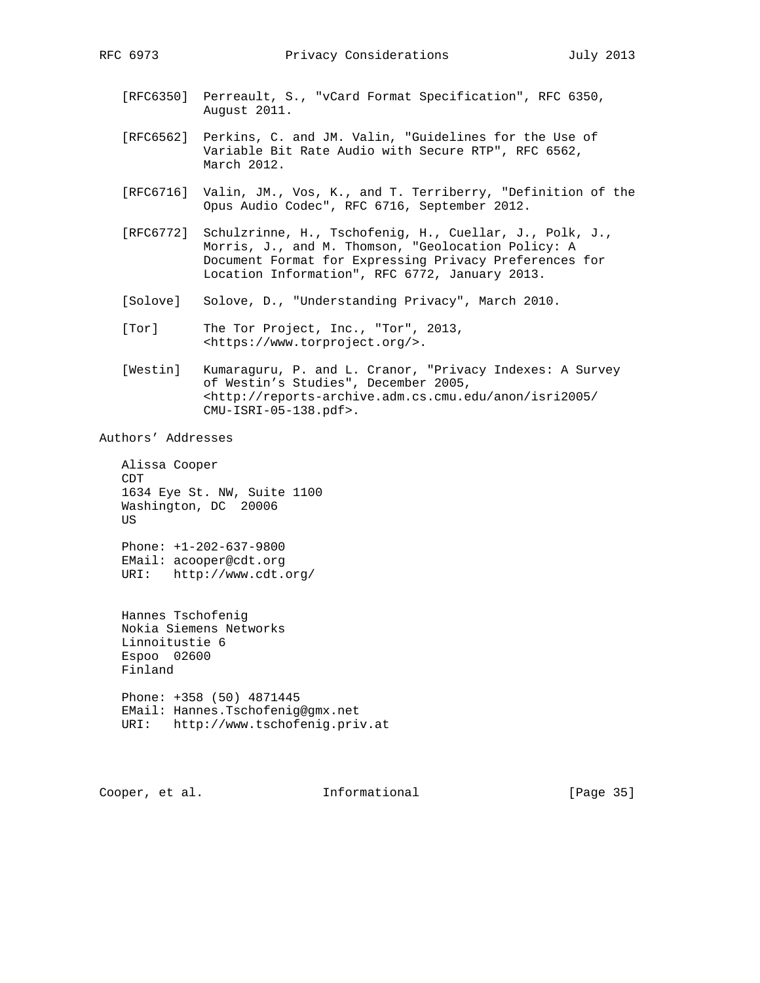- [RFC6350] Perreault, S., "vCard Format Specification", RFC 6350, August 2011.
- [RFC6562] Perkins, C. and JM. Valin, "Guidelines for the Use of Variable Bit Rate Audio with Secure RTP", RFC 6562, March 2012.
- [RFC6716] Valin, JM., Vos, K., and T. Terriberry, "Definition of the Opus Audio Codec", RFC 6716, September 2012.
- [RFC6772] Schulzrinne, H., Tschofenig, H., Cuellar, J., Polk, J., Morris, J., and M. Thomson, "Geolocation Policy: A Document Format for Expressing Privacy Preferences for Location Information", RFC 6772, January 2013.
- [Solove] Solove, D., "Understanding Privacy", March 2010.
- [Tor] The Tor Project, Inc., "Tor", 2013, <https://www.torproject.org/>.
- [Westin] Kumaraguru, P. and L. Cranor, "Privacy Indexes: A Survey of Westin's Studies", December 2005, <http://reports-archive.adm.cs.cmu.edu/anon/isri2005/ CMU-ISRI-05-138.pdf>.

Authors' Addresses

 Alissa Cooper CDT 1634 Eye St. NW, Suite 1100 Washington, DC 20006 US Phone: +1-202-637-9800 EMail: acooper@cdt.org

URI: http://www.cdt.org/

 Hannes Tschofenig Nokia Siemens Networks Linnoitustie 6 Espoo 02600 Finland

 Phone: +358 (50) 4871445 EMail: Hannes.Tschofenig@gmx.net URI: http://www.tschofenig.priv.at

Cooper, et al. Informational [Page 35]